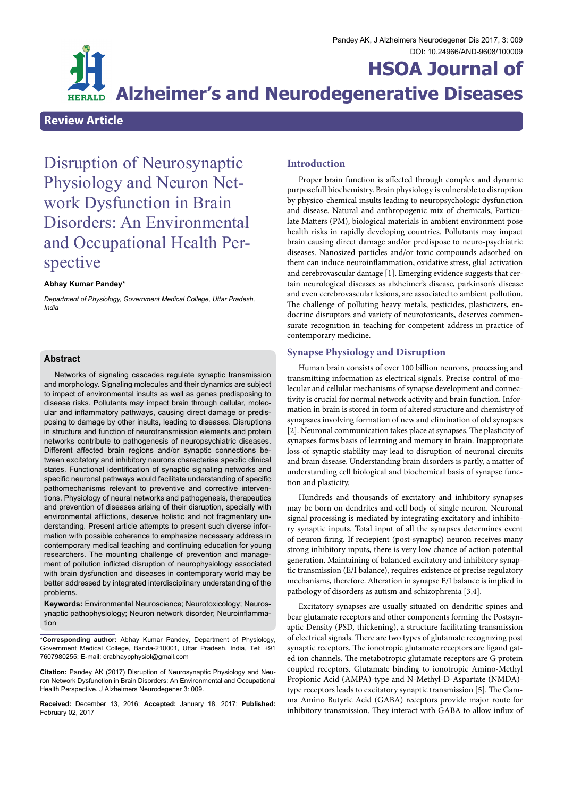

# **HSOA Journal of Alzheimer's and Neurodegenerative Diseases**

# **Review Article**

Disruption of Neurosynaptic Physiology and Neuron Net- work Dysfunction in Brain Disorders: An Environmental and Occupational Health Per- spective

## **Abhay Kumar Pandey\***

*Department of Physiology, Government Medical College, Uttar Pradesh, India*

## **Abstract**

Networks of signaling cascades regulate synaptic transmission and morphology. Signaling molecules and their dynamics are subject to impact of environmental insults as well as genes predisposing to disease risks. Pollutants may impact brain through cellular, molecular and inflammatory pathways, causing direct damage or predisposing to damage by other insults, leading to diseases. Disruptions in structure and function of neurotransmission elements and protein networks contribute to pathogenesis of neuropsychiatric diseases. Different affected brain regions and/or synaptic connections between excitatory and inhibitory neurons charecterise specific clinical states. Functional identification of synaptic signaling networks and specific neuronal pathways would facilitate understanding of specific pathomechanisms relevant to preventive and corrective interventions. Physiology of neural networks and pathogenesis, therapeutics and prevention of diseases arising of their disruption, specially with environmental afflictions, deserve holistic and not fragmentary understanding. Present article attempts to present such diverse information with possible coherence to emphasize necessary address in contemporary medical teaching and continuing education for young researchers. The mounting challenge of prevention and management of pollution inflicted disruption of neurophysiology associated with brain dysfunction and diseases in contemporary world may be better addressed by integrated interdisciplinary understanding of the problems.

**Keywords:** Environmental Neuroscience; Neurotoxicology; Neurosynaptic pathophysiology; Neuron network disorder; Neuroinflammation

**\*Corresponding author:** Abhay Kumar Pandey, Department of Physiology, Government Medical College, Banda-210001, Uttar Pradesh, India, Tel: +91 7607980255; E-mail: drabhaypphysiol@gmail.com

**Citation:** Pandey AK (2017) Disruption of Neurosynaptic Physiology and Neu- ron Network Dysfunction in Brain Disorders: An Environmental and Occupational Health Perspective. J Alzheimers Neurodegener 3: 009.

**Received:** December 13, 2016; **Accepted:** January 18, 2017; **Published:** February 02, 2017

# **Introduction**

Proper brain function is affected through complex and dynamic purposefull biochemistry. Brain physiology is vulnerable to disruption by physico-chemical insults leading to neuropsychologic dysfunction and disease. Natural and anthropogenic mix of chemicals, Particulate Matters (PM), biological materials in ambient environment pose health risks in rapidly developing countries. Pollutants may impact brain causing direct damage and/or predispose to neuro-psychiatric diseases. Nanosized particles and/or toxic compounds adsorbed on them can induce neuroinflammation, oxidative stress, glial activation and cerebrovascular damage [1]. Emerging evidence suggests that certain neurological diseases as alzheimer's disease, parkinson's disease and even cerebrovascular lesions, are associated to ambient pollution. The challenge of polluting heavy metals, pesticides, plasticizers, endocrine disruptors and variety of neurotoxicants, deserves commensurate recognition in teaching for competent address in practice of contemporary medicine.

# **Synapse Physiology and Disruption**

Human brain consists of over 100 billion neurons, processing and transmitting information as electrical signals. Precise control of molecular and cellular mechanisms of synapse development and connectivity is crucial for normal network activity and brain function. Information in brain is stored in form of altered structure and chemistry of synapsaes involving formation of new and elimination of old synapses [2]. Neuronal communication takes place at synapses. The plasticity of synapses forms basis of learning and memory in brain. Inappropriate loss of synaptic stability may lead to disruption of neuronal circuits and brain disease. Understanding brain disorders is partly, a matter of understanding cell biological and biochemical basis of synapse function and plasticity.

Hundreds and thousands of excitatory and inhibitory synapses may be born on dendrites and cell body of single neuron. Neuronal signal processing is mediated by integrating excitatory and inhibitory synaptic inputs. Total input of all the synapses determines event of neuron firing. If reciepient (post-synaptic) neuron receives many strong inhibitory inputs, there is very low chance of action potential generation. Maintaining of balanced excitatory and inhibitory synaptic transmission (E/I balance), requires existence of precise regulatory mechanisms, therefore. Alteration in synapse E/I balance is implied in pathology of disorders as autism and schizophrenia [3,4].

Excitatory synapses are usually situated on dendritic spines and bear glutamate receptors and other components forming the Postsynaptic Density (PSD, thickening), a structure facilitating transmission of electrical signals. There are two types of glutamate recognizing post synaptic receptors. The ionotropic glutamate receptors are ligand gated ion channels. The metabotropic glutamate receptors are G protein coupled receptors. Glutamate binding to ionotropic Amino-Methyl Propionic Acid (AMPA)-type and N-Methyl-D-Aspartate (NMDA) type receptors leads to excitatory synaptic transmission [5]. The Gamma Amino Butyric Acid (GABA) receptors provide major route for inhibitory transmission. They interact with GABA to allow influx of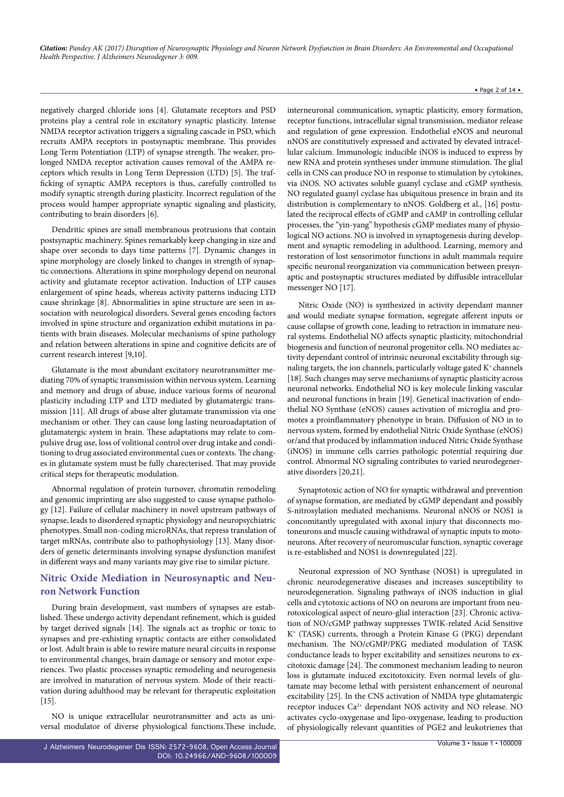#### • Page 2 of 14 •

negatively charged chloride ions [4]. Glutamate receptors and PSD proteins play a central role in excitatory synaptic plasticity. Intense NMDA receptor activation triggers a signaling cascade in PSD, which recruits AMPA receptors in postsynaptic membrane. This provides Long Term Potentiation (LTP) of synapse strength. The weaker, prolonged NMDA receptor activation causes removal of the AMPA receptors which results in Long Term Depression (LTD) [5]. The trafficking of synaptic AMPA receptors is thus, carefully controlled to modify synaptic strength during plasticity. Incorrect regulation of the process would hamper appropriate synaptic signaling and plasticity, contributing to brain disorders [6].

Dendritic spines are small membranous protrusions that contain postsynaptic machinery. Spines remarkably keep changing in size and shape over seconds to days time patterns [7]. Dynamic changes in spine morphology are closely linked to changes in strength of synaptic connections. Alterations in spine morphology depend on neuronal activity and glutamate receptor activation. Induction of LTP causes enlargement of spine heads, whereas activity patterns inducing LTD cause shrinkage [8]. Abnormalities in spine structure are seen in association with neurological disorders. Several genes encoding factors involved in spine structure and organization exhibit mutations in patients with brain diseases. Molecular mechanisms of spine pathology and relation between alterations in spine and cognitive deficits are of current research interest [9,10].

Glutamate is the most abundant excitatory neurotransmitter mediating 70% of synaptic transmission within nervous system. Learning and memory and drugs of abuse, induce various forms of neuronal plasticity including LTP and LTD mediated by glutamatergic transmission [11]. All drugs of abuse alter glutamate transmission via one mechanism or other. They can cause long lasting neuroadaptation of glutamatergic system in brain. These adaptations may relate to compulsive drug use, loss of volitional control over drug intake and conditioning to drug associated environmental cues or contexts. The changes in glutamate system must be fully charecterised. That may provide critical steps for therapeutic modulation.

Abnormal regulation of protein turnover, chromatin remodeling and genomic imprinting are also suggested to cause synapse pathology [12]. Failure of cellular machinery in novel upstream pathways of synapse, leads to disordered synaptic physiology and neuropsychiatric phenotypes. Small non-coding microRNAs, that repress translation of target mRNAs, contribute also to pathophysiology [13]. Many disorders of genetic determinants involving synapse dysfunction manifest in different ways and many variants may give rise to similar picture.

# **Nitric Oxide Mediation in Neurosynaptic and Neuron Network Function**

During brain development, vast numbers of synapses are established. These undergo activity dependant refinement, which is guided by target derived signals [14]. The signals act as trophic or toxic to synapses and pre-exhisting synaptic contacts are either consolidated or lost. Adult brain is able to rewire mature neural circuits in response to environmental changes, brain damage or sensory and motor experiences. Two plastic processes synaptic remodeling and neurogenesis are involved in maturation of nervous system. Mode of their reactivation during adulthood may be relevant for therapeutic exploitation  $[15]$ .

NO is unique extracellular neurotransmitter and acts as universal modulator of diverse physiological functions.These include,

interneuronal communication, synaptic plasticity, emory formation, receptor functions, intracellular signal transmission, mediator release and regulation of gene expression. Endothelial eNOS and neuronal nNOS are constitutively expressed and activated by elevated intracellular calcium. Immunologic inducible iNOS is induced to express by new RNA and protein syntheses under immune stimulation. The glial cells in CNS can produce NO in response to stimulation by cytokines, via iNOS. NO activates soluble guanyl cyclase and cGMP synthesis. NO regulated guanyl cyclase has ubiquitous presence in brain and its distribution is complementary to nNOS. Goldberg et al., [16] postulated the reciprocal effects of cGMP and cAMP in controlling cellular processes, the "yin-yang" hypothesis cGMP mediates many of physiological NO actions. NO is involved in synaptogenesis during development and synaptic remodeling in adulthood. Learning, memory and restoration of lost sensorimotor functions in adult mammals require specific neuronal reorganization via communication between presynaptic and postsynaptic structures mediated by diffusible intracellular messenger NO [17].

Nitric Oxide (NO) is synthesized in activity dependant manner and would mediate synapse formation, segregate afferent inputs or cause collapse of growth cone, leading to retraction in immature neural systems. Endothelial NO affects synaptic plasticity, mitochondrial biogenesis and function of neuronal progenitor cells. NO mediates activity dependant control of intrinsic neuronal excitability through signaling targets, the ion channels, particularly voltage gated  $K^*$  channels [18]. Such changes may serve mechanisms of synaptic plasticity across neuronal networks. Endothelial NO is key molecule linking vascular and neuronal functions in brain [19]. Genetical inactivation of endothelial NO Synthase (eNOS) causes activation of microglia and promotes a proinflammatory phenotype in brain. Diffusion of NO in to nervous system, formed by endothelial Nitric Oxide Synthase (eNOS) or/and that produced by inflammation induced Nitric Oxide Synthase (iNOS) in immune cells carries pathologic potential requiring due control. Abnormal NO signaling contributes to varied neurodegenerative disorders [20,21].

Synaptotoxic action of NO for synaptic withdrawal and prevention of synapse formation, are mediated by cGMP dependant and possibly S-nitrosylation mediated mechanisms. Neuronal nNOS or NOS1 is concomitantly upregulated with axonal injury that disconnects motoneurons and muscle causing withdrawal of synaptic inputs to motoneurons. After recovery of neuromuscular function, synaptic coverage is re-established and NOS1 is downregulated [22].

Neuronal expression of NO Synthase (NOS1) is upregulated in chronic neurodegenerative diseases and increases susceptibility to neurodegeneration. Signaling pathways of iNOS induction in glial cells and cytotoxic actions of NO on neurons are important from neurotoxicological aspect of neuro-glial interaction [23]. Chronic activation of NO/cGMP pathway suppresses TWIK-related Acid Sensitive K+ (TASK) currents, through a Protein Kinase G (PKG) dependant mechanism. The NO/cGMP/PKG mediated modulation of TASK conductance leads to hyper excitability and sensitizes neurons to excitotoxic damage [24]. The commonest mechanism leading to neuron loss is glutamate induced excitotoxicity. Even normal levels of glutamate may become lethal with persistent enhancement of neuronal excitability [25]. In the CNS activation of NMDA type glutamatergic receptor induces Ca2+ dependant NOS activity and NO release. NO activates cyclo-oxygenase and lipo-oxygenase, leading to production of physiologically relevant quantities of PGE2 and leukotrienes that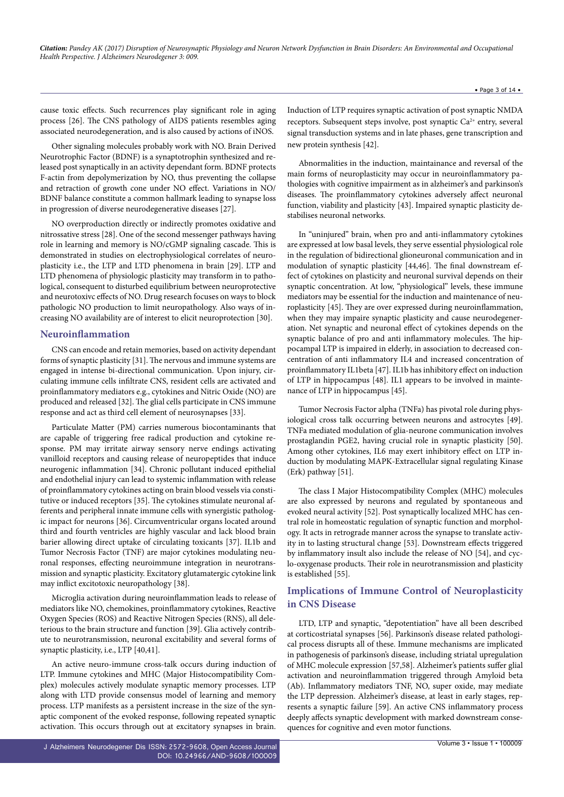cause toxic effects. Such recurrences play significant role in aging process [26]. The CNS pathology of AIDS patients resembles aging associated neurodegeneration, and is also caused by actions of iNOS.

Other signaling molecules probably work with NO. Brain Derived Neurotrophic Factor (BDNF) is a synaptotrophin synthesized and released post synaptically in an activity dependant form. BDNF protects F-actin from depolymerization by NO, thus preventing the collapse and retraction of growth cone under NO effect. Variations in NO/ BDNF balance constitute a common hallmark leading to synapse loss in progression of diverse neurodegenerative diseases [27].

NO overproduction directly or indirectly promotes oxidative and nitrossative stress [28]. One of the second messenger pathways having role in learning and memory is NO/cGMP signaling cascade. This is demonstrated in studies on electrophysiological correlates of neuroplasticity i.e., the LTP and LTD phenomena in brain [29]. LTP and LTD phenomena of physiologic plasticity may transform in to pathological, consequent to disturbed equilibrium between neuroprotective and neurotoxivc effects of NO. Drug research focuses on ways to block pathologic NO production to limit neuropathology. Also ways of increasing NO availability are of interest to elicit neuroprotection [30].

# **Neuroinflammation**

CNS can encode and retain memories, based on activity dependant forms of synaptic plasticity [31]. The nervous and immune systems are engaged in intense bi-directional communication. Upon injury, circulating immune cells infiltrate CNS, resident cells are activated and proinflammatory mediators e.g., cytokines and Nitric Oxide (NO) are produced and released [32]. The glial cells participate in CNS immune response and act as third cell element of neurosynapses [33].

Particulate Matter (PM) carries numerous biocontaminants that are capable of triggering free radical production and cytokine response. PM may irritate airway sensory nerve endings activating vanilloid receptors and causing release of neuropeptides that induce neurogenic inflammation [34]. Chronic pollutant induced epithelial and endothelial injury can lead to systemic inflammation with release of proinflammatory cytokines acting on brain blood vessels via constitutive or induced receptors [35]. The cytokines stimulate neuronal afferents and peripheral innate immune cells with synergistic pathologic impact for neurons [36]. Circumventricular organs located around third and fourth ventricles are highly vascular and lack blood brain barier allowing direct uptake of circulating toxicants [37]. IL1b and Tumor Necrosis Factor (TNF) are major cytokines modulating neuronal responses, effecting neuroimmune integration in neurotransmission and synaptic plasticity. Excitatory glutamatergic cytokine link may inflict excitotoxic neuropathology [38].

Microglia activation during neuroinflammation leads to release of mediators like NO, chemokines, proinflammatory cytokines, Reactive Oxygen Species (ROS) and Reactive Nitrogen Species (RNS), all deleterious to the brain structure and function [39]. Glia actively contribute to neurotransmission, neuronal excitability and several forms of synaptic plasticity, i.e., LTP [40,41].

An active neuro-immune cross-talk occurs during induction of LTP. Immune cytokines and MHC (Major Histocompatibility Complex) molecules actively modulate synaptic memory processes. LTP along with LTD provide consensus model of learning and memory process. LTP manifests as a persistent increase in the size of the synaptic component of the evoked response, following repeated synaptic activation. This occurs through out at excitatory synapses in brain.

Induction of LTP requires synaptic activation of post synaptic NMDA receptors. Subsequent steps involve, post synaptic  $Ca^{2+}$  entry, several signal transduction systems and in late phases, gene transcription and new protein synthesis [42].

Abnormalities in the induction, maintainance and reversal of the main forms of neuroplasticity may occur in neuroinflammatory pathologies with cognitive impairment as in alzheimer's and parkinson's diseases. The proinflammatory cytokines adversely affect neuronal function, viability and plasticity [43]. Impaired synaptic plasticity destabilises neuronal networks.

In "uninjured" brain, when pro and anti-inflammatory cytokines are expressed at low basal levels, they serve essential physiological role in the regulation of bidirectional glioneuronal communication and in modulation of synaptic plasticity [44,46]. The final downstream effect of cytokines on plasticity and neuronal survival depends on their synaptic concentration. At low, "physiological" levels, these immune mediators may be essential for the induction and maintenance of neuroplasticity [45]. They are over expressed during neuroinflammation, when they may impaire synaptic plasticity and cause neurodegeneration. Net synaptic and neuronal effect of cytokines depends on the synaptic balance of pro and anti inflammatory molecules. The hippocampal LTP is impaired in elderly, in association to decreased concentration of anti inflammatory IL4 and increased concentration of proinflammatory IL1beta [47]. IL1b has inhibitory effect on induction of LTP in hippocampus [48]. IL1 appears to be involved in maintenance of LTP in hippocampus [45].

Tumor Necrosis Factor alpha (TNFa) has pivotal role during physiological cross talk occurring between neurons and astrocytes [49]. TNFa mediated modulation of glia-neurone communication involves prostaglandin PGE2, having crucial role in synaptic plasticity [50]. Among other cytokines, IL6 may exert inhibitory effect on LTP induction by modulating MAPK-Extracellular signal regulating Kinase (Erk) pathway [51].

The class I Major Histocompatibility Complex (MHC) molecules are also expressed by neurons and regulated by spontaneous and evoked neural activity [52]. Post synaptically localized MHC has central role in homeostatic regulation of synaptic function and morphology. It acts in retrograde manner across the synapse to translate activity in to lasting structural change [53]. Downstream effects triggered by inflammatory insult also include the release of NO [54], and cyclo-oxygenase products. Their role in neurotransmission and plasticity is established [55].

# **Implications of Immune Control of Neuroplasticity in CNS Disease**

LTD, LTP and synaptic, "depotentiation" have all been described at corticostriatal synapses [56]. Parkinson's disease related pathological process disrupts all of these. Immune mechanisms are implicated in pathogenesis of parkinson's disease, including striatal upregulation of MHC molecule expression [57,58]. Alzheimer's patients suffer glial activation and neuroinflammation triggered through Amyloid beta (Ab). Inflammatory mediators TNF, NO, super oxide, may mediate the LTP depression. Alzheimer's disease, at least in early stages, represents a synaptic failure [59]. An active CNS inflammatory process deeply affects synaptic development with marked downstream consequences for cognitive and even motor functions.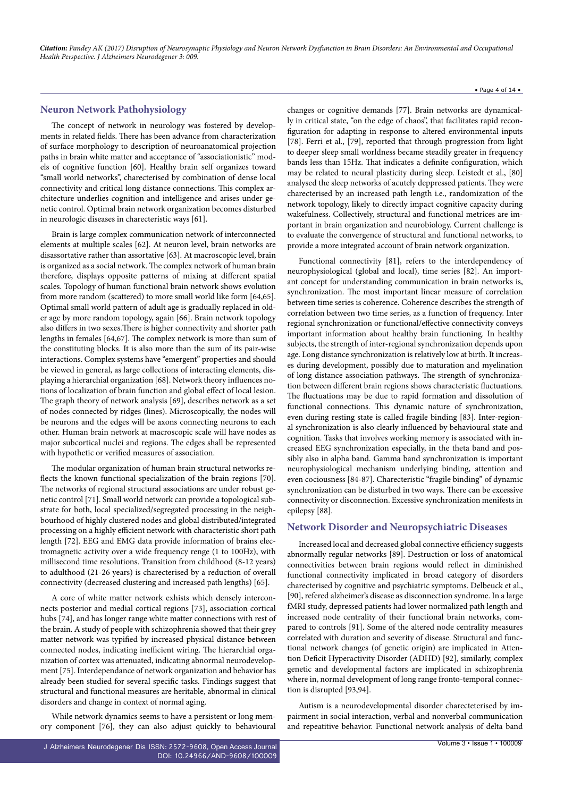# **Neuron Network Pathohysiology**

The concept of network in neurology was fostered by developments in related fields. There has been advance from characterization of surface morphology to description of neuroanatomical projection paths in brain white matter and acceptance of "associationistic" models of cognitive function [60]. Healthy brain self organizes toward "small world networks", charecterised by combination of dense local connectivity and critical long distance connections. This complex architecture underlies cognition and intelligence and arises under genetic control. Optimal brain network organization becomes disturbed in neurologic diseases in charecteristic ways [61].

Brain is large complex communication network of interconnected elements at multiple scales [62]. At neuron level, brain networks are disassortative rather than assortative [63]. At macroscopic level, brain is organized as a social network. The complex network of human brain therefore, displays opposite patterns of mixing at different spatial scales. Topology of human functional brain network shows evolution from more random (scattered) to more small world like form [64,65]. Optimal small world pattern of adult age is gradually replaced in older age by more random topology, again [66]. Brain network topology also differs in two sexes.There is higher connectivity and shorter path lengths in females [64,67]. The complex network is more than sum of the constituting blocks. It is also more than the sum of its pair-wise interactions. Complex systems have "emergent" properties and should be viewed in general, as large collections of interacting elements, displaying a hierarchial organization [68]. Network theory influences notions of localization of brain function and global effect of local lesion. The graph theory of network analysis [69], describes network as a set of nodes connected by ridges (lines). Microscopically, the nodes will be neurons and the edges will be axons connecting neurons to each other. Human brain network at macroscopic scale will have nodes as major subcortical nuclei and regions. The edges shall be represented with hypothetic or verified measures of association.

The modular organization of human brain structural networks reflects the known functional specialization of the brain regions [70]. The networks of regional structural associations are under robust genetic control [71]. Small world network can provide a topological substrate for both, local specialized/segregated processing in the neighbourhood of highly clustered nodes and global distributed/integrated processing on a highly efficient network with characteristic short path length [72]. EEG and EMG data provide information of brains electromagnetic activity over a wide frequency renge (1 to 100Hz), with millisecond time resolutions. Transition from childhood (8-12 years) to adulthood (21-26 years) is charecterised by a reduction of overall connectivity (decreased clustering and increased path lengths) [65].

A core of white matter network exhists which densely interconnects posterior and medial cortical regions [73], association cortical hubs [74], and has longer range white matter connections with rest of the brain. A study of people with schizophrenia showed that their grey matter network was typified by increased physical distance between connected nodes, indicating inefficient wiring. The hierarchial organization of cortex was attenuated, indicating abnormal neurodevelopment [75]. Interdependance of network organization and behavior has already been studied for several specific tasks. Findings suggest that structural and functional measures are heritable, abnormal in clinical disorders and change in context of normal aging.

While network dynamics seems to have a persistent or long memory component [76], they can also adjust quickly to behavioural

changes or cognitive demands [77]. Brain networks are dynamically in critical state, "on the edge of chaos", that facilitates rapid reconfiguration for adapting in response to altered environmental inputs [78]. Ferri et al., [79], reported that through progression from light to deeper sleep small worldness became steadily greater in frequency bands less than 15Hz. That indicates a definite configuration, which may be related to neural plasticity during sleep. Leistedt et al., [80] analysed the sleep networks of acutely deppressed patients. They were charecterised by an increased path length i.e., randomization of the network topology, likely to directly impact cognitive capacity during wakefulness. Collectively, structural and functional metrices are important in brain organization and neurobiology. Current challenge is to evaluate the convergence of structural and functional networks, to provide a more integrated account of brain network organization.

Functional connectivity [81], refers to the interdependency of neurophysiological (global and local), time series [82]. An important concept for understanding communication in brain networks is, synchronization. The most important linear measure of correlation between time series is coherence. Coherence describes the strength of correlation between two time series, as a function of frequency. Inter regional synchronization or functional/effective connectivity conveys important information about healthy brain functioning. In healthy subjects, the strength of inter-regional synchronization depends upon age. Long distance synchronization is relatively low at birth. It increases during development, possibly due to maturation and myelination of long distance association pathways. The strength of synchronization between different brain regions shows characteristic fluctuations. The fluctuations may be due to rapid formation and dissolution of functional connections. This dynamic nature of synchronization, even during resting state is called fragile binding [83]. Inter-regional synchronization is also clearly influenced by behavioural state and cognition. Tasks that involves working memory is associated with increased EEG synchronization especially, in the theta band and possibly also in alpha band. Gamma band synchronization is important neurophysiological mechanism underlying binding, attention and even cociousness [84-87]. Charecteristic "fragile binding" of dynamic synchronization can be disturbed in two ways. There can be excessive connectivity or disconnection. Excessive synchronization menifests in epilepsy [88].

## **Network Disorder and Neuropsychiatric Diseases**

Increased local and decreased global connective efficiency suggests abnormally regular networks [89]. Destruction or loss of anatomical connectivities between brain regions would reflect in diminished functional connectivity implicated in broad category of disorders charecterised by cognitive and psychiatric symptoms. Delbeuck et al., [90], refered alzheimer's disease as disconnection syndrome. In a large fMRI study, depressed patients had lower normalized path length and increased node centrality of their functional brain networks, compared to controls [91]. Some of the altered node centrality measures correlated with duration and severity of disease. Structural and functional network changes (of genetic origin) are implicated in Attention Deficit Hyperactivity Disorder (ADHD) [92], similarly, complex genetic and developmental factors are implicated in schizophrenia where in, normal development of long range fronto-temporal connection is disrupted [93,94].

Autism is a neurodevelopmental disorder charecteterised by impairment in social interaction, verbal and nonverbal communication and repeatitive behavior. Functional network analysis of delta band

## • Page 4 of 14 •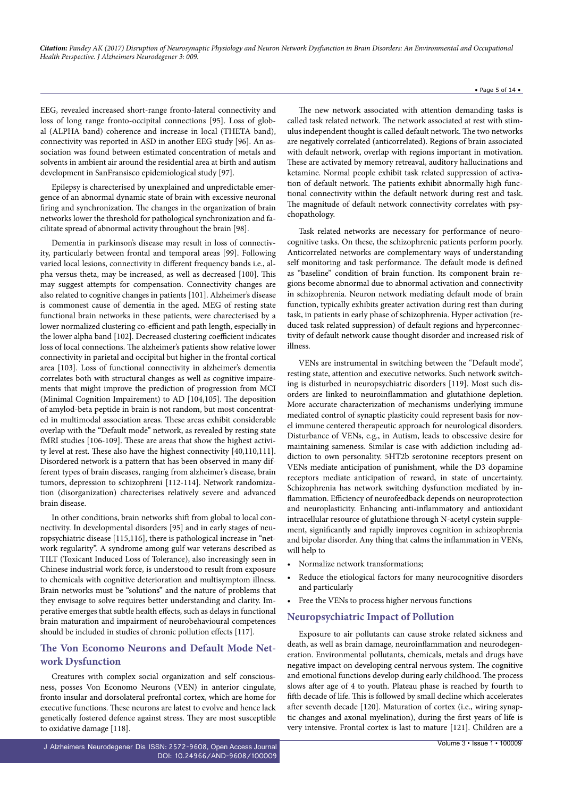#### • Page 5 of 14 •

EEG, revealed increased short-range fronto-lateral connectivity and loss of long range fronto-occipital connections [95]. Loss of global (ALPHA band) coherence and increase in local (THETA band), connectivity was reported in ASD in another EEG study [96]. An association was found between estimated concentration of metals and solvents in ambient air around the residential area at birth and autism development in SanFransisco epidemiological study [97].

Epilepsy is charecterised by unexplained and unpredictable emergence of an abnormal dynamic state of brain with excessive neuronal firing and synchronization. The changes in the organization of brain networks lower the threshold for pathological synchronization and facilitate spread of abnormal activity throughout the brain [98].

Dementia in parkinson's disease may result in loss of connectivity, particularly between frontal and temporal areas [99]. Following varied local lesions, connectivity in different frequency bands i.e., alpha versus theta, may be increased, as well as decreased [100]. This may suggest attempts for compensation. Connectivity changes are also related to cognitive changes in patients [101]. Alzheimer's disease is commonest cause of dementia in the aged. MEG of resting state functional brain networks in these patients, were charecterised by a lower normalized clustering co-efficient and path length, especially in the lower alpha band [102]. Decreased clustering coefficient indicates loss of local connections. The alzheimer's patients show relative lower connectivity in parietal and occipital but higher in the frontal cortical area [103]. Loss of functional connectivity in alzheimer's dementia correlates both with structural changes as well as cognitive impairements that might improve the prediction of progression from MCI (Minimal Cognition Impairement) to AD [104,105]. The deposition of amylod-beta peptide in brain is not random, but most concentrated in multimodal association areas. These areas exhibit considerable overlap with the "Default mode" network, as revealed by resting state fMRI studies [106-109]. These are areas that show the highest activity level at rest. These also have the highest connectivity [40,110,111]. Disordered network is a pattern that has been observed in many different types of brain diseases, ranging from alzheimer's disease, brain tumors, depression to schizophreni [112-114]. Network randomization (disorganization) charecterises relatively severe and advanced brain disease.

In other conditions, brain networks shift from global to local connectivity. In developmental disorders [95] and in early stages of neuropsychiatric disease [115,116], there is pathological increase in "network regularity". A syndrome among gulf war veterans described as TILT (Toxicant Induced Loss of Tolerance), also increasingly seen in Chinese industrial work force, is understood to result from exposure to chemicals with cognitive deterioration and multisymptom illness. Brain networks must be "solutions" and the nature of problems that they envisage to solve requires better understanding and clarity. Imperative emerges that subtle health effects, such as delays in functional brain maturation and impairment of neurobehavioural competences should be included in studies of chronic pollution effects [117].

# **The Von Economo Neurons and Default Mode Network Dysfunction**

Creatures with complex social organization and self consciousness, posses Von Economo Neurons (VEN) in anterior cingulate, fronto insular and dorsolateral prefrontal cortex, which are home for executive functions. These neurons are latest to evolve and hence lack genetically fostered defence against stress. They are most susceptible to oxidative damage [118].

The new network associated with attention demanding tasks is called task related network. The network associated at rest with stimulus independent thought is called default network. The two networks are negatively correlated (anticorrelated). Regions of brain associated with default network, overlap with regions important in motivation. These are activated by memory retreaval, auditory hallucinations and ketamine. Normal people exhibit task related suppression of activation of default network. The patients exhibit abnormally high functional connectivity within the default network during rest and task. The magnitude of default network connectivity correlates with psychopathology.

Task related networks are necessary for performance of neurocognitive tasks. On these, the schizophrenic patients perform poorly. Anticorrelated networks are complementary ways of understanding self monitoring and task performance. The default mode is defined as "baseline" condition of brain function. Its component brain regions become abnormal due to abnormal activation and connectivity in schizophrenia. Neuron network mediating default mode of brain function, typically exhibits greater activation during rest than during task, in patients in early phase of schizophrenia. Hyper activation (reduced task related suppression) of default regions and hyperconnectivity of default network cause thought disorder and increased risk of illness.

VENs are instrumental in switching between the "Default mode", resting state, attention and executive networks. Such network switching is disturbed in neuropsychiatric disorders [119]. Most such disorders are linked to neuroinflammation and glutathione depletion. More accurate characterization of mechanisms underlying immune mediated control of synaptic plasticity could represent basis for novel immune centered therapeutic approach for neurological disorders. Disturbance of VENs, e.g., in Autism, leads to obscessive desire for maintaining sameness. Similar is case with addiction including addiction to own personality. 5HT2b serotonine receptors present on VENs mediate anticipation of punishment, while the D3 dopamine receptors mediate anticipation of reward, in state of uncertainty. Schizophrenia has network switching dysfunction mediated by inflammation. Efficiency of neurofeedback depends on neuroprotection and neuroplasticity. Enhancing anti-inflammatory and antioxidant intracellular resource of glutathione through N-acetyl cystein supplement, significantly and rapidly improves cognition in schizophrenia and bipolar disorder. Any thing that calms the inflammation in VENs, will help to

- Normalize network transformations;
- Reduce the etiological factors for many neurocognitive disorders and particularly
- • Free the VENs to process higher nervous functions

## **Neuropsychiatric Impact of Pollution**

Exposure to air pollutants can cause stroke related sickness and death, as well as brain damage, neuroinflammation and neurodegeneration. Environmental pollutants, chemicals, metals and drugs have negative impact on developing central nervous system. The cognitive and emotional functions develop during early childhood. The process slows after age of 4 to youth. Plateau phase is reached by fourth to fifth decade of life. This is followed by small decline which accelerates after seventh decade [120]. Maturation of cortex (i.e., wiring synaptic changes and axonal myelination), during the first years of life is very intensive. Frontal cortex is last to mature [121]. Children are a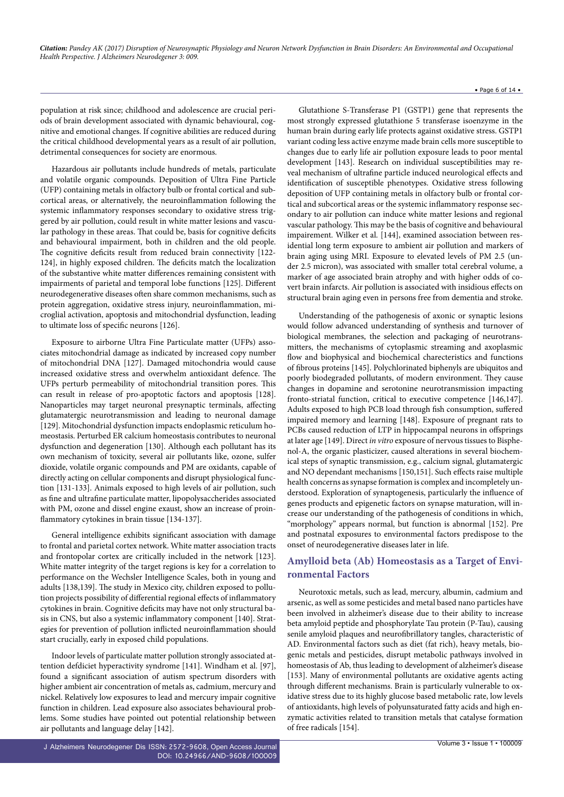#### • Page 6 of 14 •

population at risk since; childhood and adolescence are crucial periods of brain development associated with dynamic behavioural, cognitive and emotional changes. If cognitive abilities are reduced during the critical childhood developmental years as a result of air pollution, detrimental consequences for society are enormous.

Hazardous air pollutants include hundreds of metals, particulate and volatile organic compounds. Deposition of Ultra Fine Particle (UFP) containing metals in olfactory bulb or frontal cortical and subcortical areas, or alternatively, the neuroinflammation following the systemic inflammatory responses secondary to oxidative stress triggered by air pollution, could result in white matter lesions and vascular pathology in these areas. That could be, basis for cognitive deficits and behavioural impairment, both in children and the old people. The cognitive deficits result from reduced brain connectivity [122- 124], in highly exposed children. The deficits match the localization of the substantive white matter differences remaining consistent with impairments of parietal and temporal lobe functions [125]. Different neurodegenerative diseases often share common mechanisms, such as protein aggregation, oxidative stress injury, neuroinflammation, microglial activation, apoptosis and mitochondrial dysfunction, leading to ultimate loss of specific neurons [126].

Exposure to airborne Ultra Fine Particulate matter (UFPs) associates mitochondrial damage as indicated by increased copy number of mitochondrial DNA [127]. Damaged mitochondria would cause increased oxidative stress and overwhelm antioxidant defence. The UFPs perturb permeability of mitochondrial transition pores. This can result in release of pro-apoptotic factors and apoptosis [128]. Nanoparticles may target neuronal presynaptic terminals, affecting glutamatergic neurotransmission and leading to neuronal damage [129]. Mitochondrial dysfunction impacts endoplasmic reticulum homeostasis. Perturbed ER calcium homeostasis contributes to neuronal dysfunction and degeneration [130]. Although each pollutant has its own mechanism of toxicity, several air pollutants like, ozone, sulfer dioxide, volatile organic compounds and PM are oxidants, capable of directly acting on cellular components and disrupt physiological function [131-133]. Animals exposed to high levels of air pollution, such as fine and ultrafine particulate matter, lipopolysaccherides associated with PM, ozone and dissel engine exaust, show an increase of proinflammatory cytokines in brain tissue [134-137].

General intelligence exhibits significant association with damage to frontal and parietal cortex network. White matter association tracts and frontopolar cortex are critically included in the network [123]. White matter integrity of the target regions is key for a correlation to performance on the Wechsler Intelligence Scales, both in young and adults [138,139]. The study in Mexico city, children exposed to pollution projects possibility of differential regional effects of inflammatory cytokines in brain. Cognitive deficits may have not only structural basis in CNS, but also a systemic inflammatory component [140]. Strategies for prevention of pollution inflicted neuroinflammation should start crucially, early in exposed child populations.

Indoor levels of particulate matter pollution strongly associated attention defdiciet hyperactivity syndrome [141]. Windham et al. [97], found a significant association of autism spectrum disorders with higher ambient air concentration of metals as, cadmium, mercury and nickel. Relatively low exposures to lead and mercury impair cognitive function in children. Lead exposure also associates behavioural problems. Some studies have pointed out potential relationship between air pollutants and language delay [142].

J Alzheimers Neurodegener Dis ISSN: 2572-9608, Open Access Journal DOI: [10.24966/AND-9608/100009](http://dx.doi.org/10.24966/AND-9608/100009)

Glutathione S-Transferase P1 (GSTP1) gene that represents the most strongly expressed glutathione 5 transferase isoenzyme in the human brain during early life protects against oxidative stress. GSTP1 variant coding less active enzyme made brain cells more susceptible to changes due to early life air pollution exposure leads to poor mental development [143]. Research on individual susceptibilities may reveal mechanism of ultrafine particle induced neurological effects and identification of susceptible phenotypes. Oxidative stress following deposition of UFP containing metals in olfactory bulb or frontal cortical and subcortical areas or the systemic inflammatory response secondary to air pollution can induce white matter lesions and regional vascular pathology. This may be the basis of cognitive and behavioural impairement. Wilker et al. [144], examined association between residential long term exposure to ambient air pollution and markers of brain aging using MRI. Exposure to elevated levels of PM 2.5 (under 2.5 micron), was associated with smaller total cerebral volume, a marker of age associated brain atrophy and with higher odds of covert brain infarcts. Air pollution is associated with insidious effects on structural brain aging even in persons free from dementia and stroke.

Understanding of the pathogenesis of axonic or synaptic lesions would follow advanced understanding of synthesis and turnover of biological membranes, the selection and packaging of neurotransmitters, the mechanisms of cytoplasmic streaming and axoplasmic flow and biophysical and biochemical charecteristics and functions of fibrous proteins [145]. Polychlorinated biphenyls are ubiquitos and poorly biodegraded pollutants, of modern environment. They cause changes in dopamine and serotonine neurotransmission impacting fronto-striatal function, critical to executive competence [146,147]. Adults exposed to high PCB load through fish consumption, suffered impaired memory and learning [148]. Exposure of pregnant rats to PCBs caused reduction of LTP in hippocampal neurons in offsprings at later age [149]. Direct *in vitro* exposure of nervous tissues to Bisphenol-A, the organic plasticizer, caused alterations in several biochemical steps of synaptic transmission, e.g., calcium signal, glutamatergic and NO dependant mechanisms [150,151]. Such effects raise multiple health concerns as synapse formation is complex and incompletely understood. Exploration of synaptogenesis, particularly the influence of genes products and epigenetic factors on synapse maturation, will increase our understanding of the pathogenesis of conditions in which, "morphology" appears normal, but function is abnormal [152]. Pre and postnatal exposures to environmental factors predispose to the onset of neurodegenerative diseases later in life.

# **Amylloid beta (Ab) Homeostasis as a Target of Environmental Factors**

Neurotoxic metals, such as lead, mercury, albumin, cadmium and arsenic, as well as some pesticides and metal based nano particles have been involved in alzheimer's disease due to their ability to increase beta amyloid peptide and phosphorylate Tau protein (P-Tau), causing senile amyloid plaques and neurofibrillatory tangles, characteristic of AD. Environmental factors such as diet (fat rich), heavy metals, biogenic metals and pesticides, disrupt metabolic pathways involved in homeostasis of Ab, thus leading to development of alzheimer's disease [153]. Many of environmental pollutants are oxidative agents acting through different mechanisms. Brain is particularly vulnerable to oxidative stress due to its highly glucose based metabolic rate, low levels of antioxidants, high levels of polyunsaturated fatty acids and high enzymatic activities related to transition metals that catalyse formation of free radicals [154].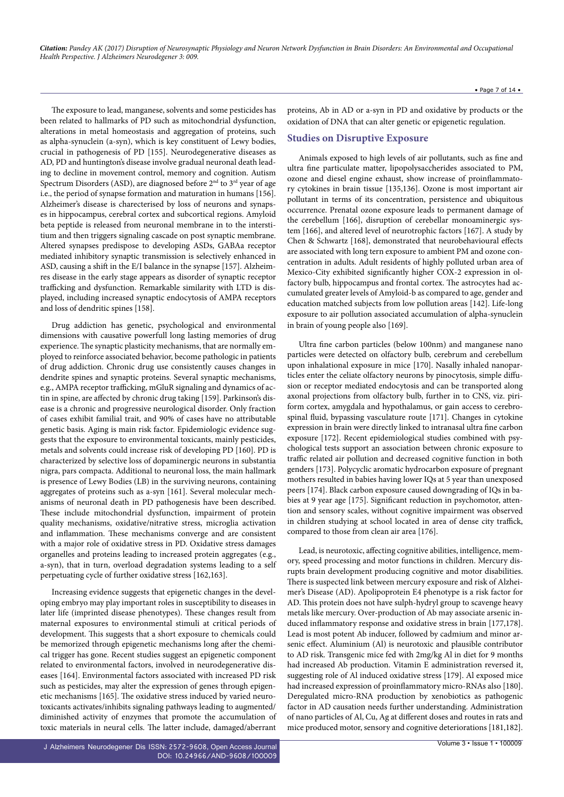The exposure to lead, manganese, solvents and some pesticides has been related to hallmarks of PD such as mitochondrial dysfunction, alterations in metal homeostasis and aggregation of proteins, such as alpha-synuclein (a-syn), which is key constituent of Lewy bodies, crucial in pathogenesis of PD [155]. Neurodegenerative diseases as AD, PD and huntington's disease involve gradual neuronal death leading to decline in movement control, memory and cognition. Autism Spectrum Disorders (ASD), are diagnosed before  $2<sup>nd</sup>$  to  $3<sup>rd</sup>$  year of age i.e., the period of synapse formation and maturation in humans [156]. Alzheimer's disease is charecterised by loss of neurons and synapses in hippocampus, cerebral cortex and subcortical regions. Amyloid beta peptide is released from neuronal membrane in to the interstitium and then triggers signaling cascade on post synaptic membrane. Altered synapses predispose to developing ASDs, GABAa receptor mediated inhibitory synaptic transmission is selectively enhanced in ASD, causing a shift in the E/I balance in the synapse [157]. Alzheimres disease in the early stage appears as disorder of synaptic receptor trafficking and dysfunction. Remarkable similarity with LTD is displayed, including increased synaptic endocytosis of AMPA receptors and loss of dendritic spines [158].

Drug addiction has genetic, psychological and environmental dimensions with causative powerfull long lasting memories of drug experience. The synaptic plasticity mechanisms, that are normally employed to reinforce associated behavior, become pathologic in patients of drug addiction. Chronic drug use consistently causes changes in dendrite spines and synaptic proteins. Several synaptic mechanisms, e.g., AMPA receptor trafficking, mGluR signaling and dynamics of actin in spine, are affected by chronic drug taking [159]. Parkinson's disease is a chronic and progressive neurological disorder. Only fraction of cases exhibit familial trait, and 90% of cases have no attributable genetic basis. Aging is main risk factor. Epidemiologic evidence suggests that the exposure to environmental toxicants, mainly pesticides, metals and solvents could increase risk of developing PD [160]. PD is characterized by selective loss of dopaminergic neurons in substantia nigra, pars compacta. Additional to neuronal loss, the main hallmark is presence of Lewy Bodies (LB) in the surviving neurons, containing aggregates of proteins such as a-syn [161]. Several molecular mechanisms of neuronal death in PD pathogenesis have been described. These include mitochondrial dysfunction, impairment of protein quality mechanisms, oxidative/nitrative stress, microglia activation and inflammation. These mechanisms converge and are consistent with a major role of oxidative stress in PD. Oxidative stress damages organelles and proteins leading to increased protein aggregates (e.g., a-syn), that in turn, overload degradation systems leading to a self perpetuating cycle of further oxidative stress [162,163].

Increasing evidence suggests that epigenetic changes in the developing embryo may play important roles in susceptibility to diseases in later life (imprinted disease phenotypes). These changes result from maternal exposures to environmental stimuli at critical periods of development. This suggests that a short exposure to chemicals could be memorized through epigenetic mechanisms long after the chemical trigger has gone. Recent studies suggest an epigenetic component related to environmental factors, involved in neurodegenerative diseases [164]. Environmental factors associated with increased PD risk such as pesticides, may alter the expression of genes through epigenetic mechanisms [165]. The oxidative stress induced by varied neurotoxicants activates/inhibits signaling pathways leading to augmented/ diminished activity of enzymes that promote the accumulation of toxic materials in neural cells. The latter include, damaged/aberrant

• Page 7 of 14 •

proteins, Ab in AD or a-syn in PD and oxidative by products or the oxidation of DNA that can alter genetic or epigenetic regulation.

## **Studies on Disruptive Exposure**

Animals exposed to high levels of air pollutants, such as fine and ultra fine particulate matter, lipopolysaccherides associated to PM, ozone and diesel engine exhaust, show increase of proinflammatory cytokines in brain tissue [135,136]. Ozone is most important air pollutant in terms of its concentration, persistence and ubiquitous occurrence. Prenatal ozone exposure leads to permanent damage of the cerebellum [166], disruption of cerebellar monoaminergic system [166], and altered level of neurotrophic factors [167]. A study by Chen & Schwartz [168], demonstrated that neurobehavioural effects are associated with long tern exposure to ambient PM and ozone concentration in adults. Adult residents of highly polluted urban area of Mexico-City exhibited significantly higher COX-2 expression in olfactory bulb, hippocampus and frontal cortex. The astrocytes had accumulated greater levels of Amyloid-b as compared to age, gender and education matched subjects from low pollution areas [142]. Life-long exposure to air pollution associated accumulation of alpha-synuclein in brain of young people also [169].

Ultra fine carbon particles (below 100nm) and manganese nano particles were detected on olfactory bulb, cerebrum and cerebellum upon inhalational exposure in mice [170]. Nasally inhaled nanoparticles enter the celiate olfactory neurons by pinocytosis, simple diffusion or receptor mediated endocytosis and can be transported along axonal projections from olfactory bulb, further in to CNS, viz. piriform cortex, amygdala and hypothalamus, or gain access to cerebrospinal fluid, bypassing vasculature route [171]. Changes in cytokine expression in brain were directly linked to intranasal ultra fine carbon exposure [172]. Recent epidemiological studies combined with psychological tests support an association between chronic exposure to traffic related air pollution and decreased cognitive function in both genders [173]. Polycyclic aromatic hydrocarbon exposure of pregnant mothers resulted in babies having lower IQs at 5 year than unexposed peers [174]. Black carbon exposure caused downgrading of IQs in babies at 9 year age [175]. Significant reduction in psychomotor, attention and sensory scales, without cognitive impairment was observed in children studying at school located in area of dense city traffick, compared to those from clean air area [176].

Lead, is neurotoxic, affecting cognitive abilities, intelligence, memory, speed processing and motor functions in children. Mercury disrupts brain development producing cognitive and motor disabilities. There is suspected link between mercury exposure and risk of Alzheimer's Disease (AD). Apolipoprotein E4 phenotype is a risk factor for AD. This protein does not have sulph-hydryl group to scavenge heavy metals like mercury. Over-production of Ab may associate arsenic induced inflammatory response and oxidative stress in brain [177,178]. Lead is most potent Ab inducer, followed by cadmium and minor arsenic effect. Aluminium (Al) is neurotoxic and plausible contributor to AD risk. Transgenic mice fed with 2mg/kg Al in diet for 9 months had increased Ab production. Vitamin E administration reversed it, suggesting role of Al induced oxidative stress [179]. Al exposed mice had increased expression of proinflammatory micro-RNAs also [180]. Deregulated micro-RNA production by xenobiotics as pathogenic factor in AD causation needs further understanding. Administration of nano particles of Al, Cu, Ag at different doses and routes in rats and mice produced motor, sensory and cognitive deteriorations [181,182].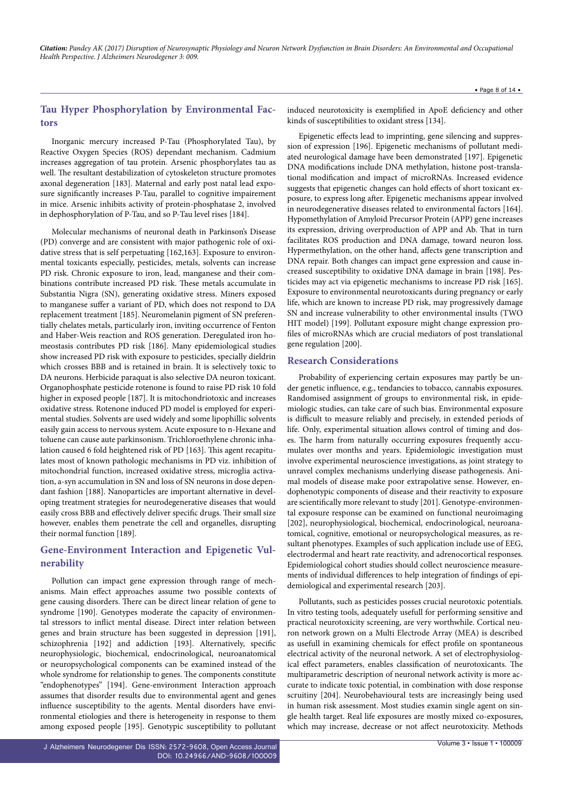# **Tau Hyper Phosphorylation by Environmental Factors**

Inorganic mercury increased P-Tau (Phosphorylated Tau), by Reactive Oxygen Species (ROS) dependant mechanism. Cadmium increases aggregation of tau protein. Arsenic phosphorylates tau as well. The resultant destabilization of cytoskeleton structure promotes axonal degeneration [183]. Maternal and early post natal lead exposure significantly increases P-Tau, parallel to cognitive impairement in mice. Arsenic inhibits activity of protein-phosphatase 2, involved in dephosphorylation of P-Tau, and so P-Tau level rises [184].

Molecular mechanisms of neuronal death in Parkinson's Disease (PD) converge and are consistent with major pathogenic role of oxidative stress that is self perpetuating [162,163]. Exposure to environmental toxicants especially, pesticides, metals, solvents can increase PD risk. Chronic exposure to iron, lead, manganese and their combinations contribute increased PD risk. These metals accumulate in Substantia Nigra (SN), generating oxidative stress. Miners exposed to manganese suffer a variant of PD, which does not respond to DA replacement treatment [185]. Neuromelanin pigment of SN preferentially chelates metals, particularly iron, inviting occurrence of Fenton and Haber-Weis reaction and ROS generation. Deregulated iron homeostasis contributes PD risk [186]. Many epidemiological studies show increased PD risk with exposure to pesticides, specially dieldrin which crosses BBB and is retained in brain. It is selectively toxic to DA neurons. Herbicide paraquat is also selective DA neuron toxicant. Organophosphate pesticide rotenone is found to raise PD risk 10 fold higher in exposed people [187]. It is mitochondriotoxic and increases oxidative stress. Rotenone induced PD model is employed for experimental studies. Solvents are used widely and some lipophillic solvents easily gain access to nervous system. Acute exposure to n-Hexane and toluene can cause aute parkinsonism. Trichloroethylene chronic inhalation caused 6 fold heightened risk of PD [163]. This agent recapitulates most of known pathologic mechanisms in PD viz. inhibition of mitochondrial function, increased oxidative stress, microglia activation, a-syn accumulation in SN and loss of SN neurons in dose dependant fashion [188]. Nanoparticles are important alternative in developing treatment strategies for neurodegenerative diseases that would easily cross BBB and effectively deliver specific drugs. Their small size however, enables them penetrate the cell and organelles, disrupting their normal function [189].

# **Gene-Environment Interaction and Epigenetic Vulnerability**

Pollution can impact gene expression through range of mechanisms. Main effect approaches assume two possible contexts of gene causing disorders. There can be direct linear relation of gene to syndrome [190]. Genotypes moderate the capacity of environmental stressors to inflict mental disease. Direct inter relation between genes and brain structure has been suggested in depression [191], schizophrenia [192] and addiction [193]. Alternatively, specific neurophysiologic, biochemical, endocrinological, neuroanatomical or neuropsychological components can be examined instead of the whole syndrome for relationship to genes. The components constitute "endophenotypes" [194]. Gene-environment Interaction approach assumes that disorder results due to environmental agent and genes influence susceptibility to the agents. Mental disorders have environmental etiologies and there is heterogeneity in response to them among exposed people [195]. Genotypic susceptibility to pollutant

induced neurotoxicity is exemplified in ApoE deficiency and other kinds of susceptibilities to oxidant stress [134].

Epigenetic effects lead to imprinting, gene silencing and suppression of expression [196]. Epigenetic mechanisms of pollutant mediated neurological damage have been demonstrated [197]. Epigenetic DNA modifications include DNA methylation, histone post-translational modification and impact of microRNAs. Increased evidence suggests that epigenetic changes can hold effects of short toxicant exposure, to express long after. Epigenetic mechanisms appear involved in neurodegenerative diseases related to environmental factors [164]. Hypomethylation of Amyloid Precursor Protein (APP) gene increases its expression, driving overproduction of APP and Ab. That in turn facilitates ROS production and DNA damage, toward neuron loss. Hypermethylation, on the other hand, affects gene transcription and DNA repair. Both changes can impact gene expression and cause increased susceptibility to oxidative DNA damage in brain [198]. Pesticides may act via epigenetic mechanisms to increase PD risk [165]. Exposure to environmental neurotoxicants during pregnancy or early life, which are known to increase PD risk, may progressively damage SN and increase vulnerability to other environmental insults (TWO HIT model) [199]. Pollutant exposure might change expression profiles of microRNAs which are crucial mediators of post translational gene regulation [200].

## **Research Considerations**

Probability of experiencing certain exposures may partly be under genetic influence, e.g., tendancies to tobacco, cannabis exposures. Randomised assignment of groups to environmental risk, in epidemiologic studies, can take care of such bias. Environmental exposure is difficult to measure reliably and precisely, in extended periods of life. Only, experimental situation allows control of timing and doses. The harm from naturally occurring exposures frequently accumulates over months and years. Epidemiologic investigation must involve experimental neuroscience investigations, as joint strategy to unravel complex mechanisms underlying disease pathogenesis. Animal models of disease make poor extrapolative sense. However, endophenotypic components of disease and their reactivity to exposure are scientifically more relevant to study [201]. Genotype-environmental exposure response can be examined on functional neuroimaging [202], neurophysiological, biochemical, endocrinological, neuroanatomical, cognitive, emotional or neuropsychological measures, as resultant phenotypes. Examples of such application include use of EEG, electrodermal and heart rate reactivity, and adrenocortical responses. Epidemiological cohort studies should collect neuroscience measurements of individual differences to help integration of findings of epidemiological and experimental research [203].

Pollutants, such as pesticides posses crucial neurotoxic potentials. In vitro testing tools, adequately usefull for performing sensitive and practical neurotoxicity screening, are very worthwhile. Cortical neuron network grown on a Multi Electrode Array (MEA) is described as usefull in examining chemicals for effect profile on spontaneous electrical activity of the neuronal network. A set of electrophysiological effect parameters, enables classification of neurotoxicants. The multiparametric description of neuronal network activity is more accurate to indicate toxic potential, in combination with dose response scruitiny [204]. Neurobehavioural tests are increasingly being used in human risk assessment. Most studies examin single agent on single health target. Real life exposures are mostly mixed co-exposures, which may increase, decrease or not affect neurotoxicity. Methods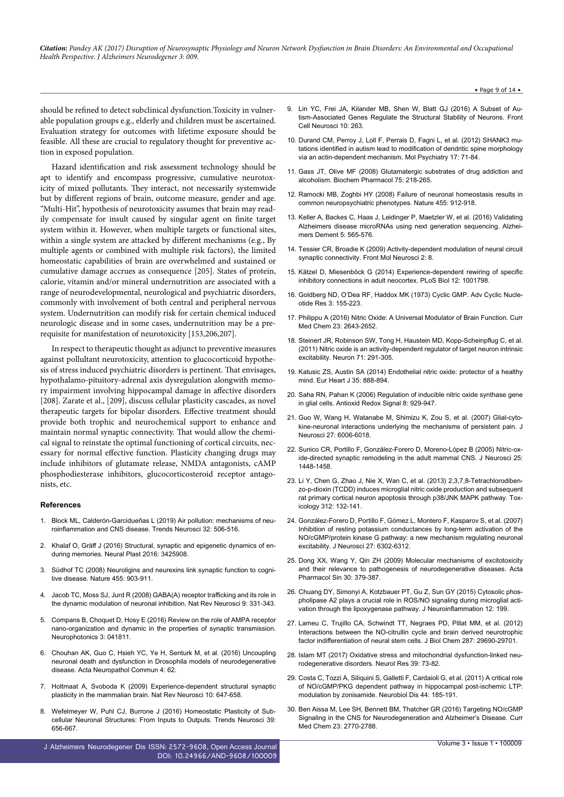should be refined to detect subclinical dysfunction.Toxicity in vulnerable population groups e.g., elderly and children must be ascertained. Evaluation strategy for outcomes with lifetime exposure should be feasible. All these are crucial to regulatory thought for preventive action in exposed population.

Hazard identification and risk assessment technology should be apt to identify and encompass progressive, cumulative neurotoxicity of mixed pollutants. They interact, not necessarily systemwide but by different regions of brain, outcome measure, gender and age. "Multi-Hit", hypothesis of neurotoxicity assumes that brain may readily compensate for insult caused by singular agent on finite target system within it. However, when multiple targets or functional sites, within a single system are attacked by different mechanisms (e.g., By multiple agents or combined with multiple risk factors), the limited homeostatic capabilities of brain are overwhelmed and sustained or cumulative damage accrues as consequence [205]. States of protein, calorie, vitamin and/or mineral undernutrition are associated with a range of neurodevelopmental, neurological and psychiatric disorders, commonly with involvement of both central and peripheral nervous system. Undernutrition can modify risk for certain chemical induced neurologic disease and in some cases, undernutrition may be a prerequisite for manifestation of neurotoxicity [153,206,207].

In respect to therapeutic thought as adjunct to preventive measures against pollultant neurotoxicity, attention to glucocorticoid hypothesis of stress induced psychiatric disorders is pertinent. That envisages, hypothalamo-pituitory-adrenal axis dysregulation alongwith memory impairment involving hippocampal damage in affective disorders [208]. Zarate et al., [209], discuss cellular plasticity cascades, as novel therapeutic targets for bipolar disorders. Effective treatment should provide both trophic and neurochemical support to enhance and maintain normal synaptic connectivity. That would allow the chemical signal to reinstate the optimal functioning of cortical circuits, necessary for normal effective function. Plasticity changing drugs may include inhibitors of glutamate release, NMDA antagonists, cAMP phosphodiesterase inhibitors, glucocorticosteroid receptor antagonists, etc.

#### **References**

- 1. [Block ML, Calderón-Garcidueñas L \(2019\) Air pollution: mechanisms of neu](https://www.ncbi.nlm.nih.gov/pubmed/19716187)[roinflammation and CNS disease. Trends Neurosci 32: 506-516.](https://www.ncbi.nlm.nih.gov/pubmed/19716187)
- 2. [Khalaf O, Gräff J \(2016\) Structural, synaptic and epigenetic dynamics of en](https://www.hindawi.com/journals/np/2016/3425908/)[during memories. Neural Plast 2016: 3425908.](https://www.hindawi.com/journals/np/2016/3425908/)
- 3. [Südhof TC \(2008\) Neuroligins and neurexins link synaptic function to cogni](https://www.ncbi.nlm.nih.gov/pmc/articles/PMC2673233/)[tive disease. Nature 455: 903-911.](https://www.ncbi.nlm.nih.gov/pmc/articles/PMC2673233/)
- 4. [Jacob TC, Moss SJ, Jurd R \(2008\) GABA\(A\) receptor trafficking and its role in](https://www.ncbi.nlm.nih.gov/pubmed/18382465) [the dynamic modulation of neuronal inhibition. Nat Rev Neurosci 9: 331-343.](https://www.ncbi.nlm.nih.gov/pubmed/18382465)
- 5. [Compans B, Choquet D, Hosy E \(2016\) Review on the role of AMPA receptor](http://neurophotonics.spiedigitallibrary.org/article.aspx?articleid=2586956) [nano-organization and dynamic in the properties of synaptic transmission.](http://neurophotonics.spiedigitallibrary.org/article.aspx?articleid=2586956) [Neurophotonics 3: 041811.](http://neurophotonics.spiedigitallibrary.org/article.aspx?articleid=2586956)
- 6. [Chouhan AK, Guo C, Hsieh YC, Ye H, Senturk M, et al. \(2016\) Uncoupling](https://www.ncbi.nlm.nih.gov/pubmed/27338814) [neuronal death and dysfunction in Drosophila models of neurodegenerative](https://www.ncbi.nlm.nih.gov/pubmed/27338814) [disease. Acta Neuropathol Commun 4: 62.](https://www.ncbi.nlm.nih.gov/pubmed/27338814)
- 7. [Holtmaat A, Svoboda K \(2009\) Experience-dependent structural synaptic](https://www.ncbi.nlm.nih.gov/pubmed/19693029) [plasticity in the mammalian brain. Nat Rev Neurosci 10: 647-658.](https://www.ncbi.nlm.nih.gov/pubmed/19693029)
- [Wefelmeyer W, Puhl CJ, Burrone J \(2016\) Homeostatic Plasticity of Sub](http://www.sciencedirect.com/science/article/pii/S0166223616300959)[cellular Neuronal Structures: From Inputs to Outputs. Trends Neurosci 39:](http://www.sciencedirect.com/science/article/pii/S0166223616300959) [656-667.](http://www.sciencedirect.com/science/article/pii/S0166223616300959)
- J Alzheimers Neurodegener Dis ISSN: 2572-9608, Open Access Journal DOI: [10.24966/AND-9608/100009](http://dx.doi.org/10.24966/AND-9608/100009)
- 9. [Lin YC, Frei JA, Kilander MB, Shen W, Blatt GJ \(2016\) A Subset of Au](https://www.ncbi.nlm.nih.gov/pmc/articles/PMC5112273/)[tism-Associated Genes Regulate the Structural Stability of Neurons. Front](https://www.ncbi.nlm.nih.gov/pmc/articles/PMC5112273/) [Cell Neurosci 10: 263.](https://www.ncbi.nlm.nih.gov/pmc/articles/PMC5112273/)
- 10. [Durand CM, Perroy J, Loll F, Perrais D, Fagni L, et al. \(2012\) SHANK3 mu](https://www.ncbi.nlm.nih.gov/pubmed/21606927)[tations identified in autism lead to modification of dendritic spine morphology](https://www.ncbi.nlm.nih.gov/pubmed/21606927) [via an actin-dependent mechanism. Mol Psychiatry 17: 71-84.](https://www.ncbi.nlm.nih.gov/pubmed/21606927)
- 11. [Gass JT, Olive MF \(2008\) Glutamatergic substrates of drug addiction and](https://www.ncbi.nlm.nih.gov/pmc/articles/PMC2239014/) [alcoholism. Biochem Pharmacol 75: 218-265.](https://www.ncbi.nlm.nih.gov/pmc/articles/PMC2239014/)
- 12. [Ramocki MB, Zoghbi HY \(2008\) Failure of neuronal homeostasis results in](https://www.ncbi.nlm.nih.gov/pubmed/18923513) [common neuropsychiatric phenotypes. Nature 455: 912-918.](https://www.ncbi.nlm.nih.gov/pubmed/18923513)
- 13. [Keller A, Backes C, Haas J, Leidinger P, Maetzler W, et al. \(2016\) Validating](https://www.ncbi.nlm.nih.gov/pubmed/26806387) [Alzheimers disease microRNAs using next generation sequencing. Alzhei](https://www.ncbi.nlm.nih.gov/pubmed/26806387)[mers Dement 5: 565-576.](https://www.ncbi.nlm.nih.gov/pubmed/26806387)
- 14. [Tessier CR, Broadie K \(2009\) Activity-dependent modulation of neural circuit](https://www.ncbi.nlm.nih.gov/pmc/articles/PMC2724028/) [synaptic connectivity. Front Mol Neurosci 2: 8.](https://www.ncbi.nlm.nih.gov/pmc/articles/PMC2724028/)
- 15. [Kätzel D, Miesenböck G \(2014\) Experience-dependent rewiring of specific](https://www.ncbi.nlm.nih.gov/pubmed/24586113) [inhibitory connections in adult neocortex. PLoS Biol 12: 1001798.](https://www.ncbi.nlm.nih.gov/pubmed/24586113)
- 16. Goldberg ND, O'Dea RF, Haddox MK (1973) Cyclic GMP. Adv Cyclic Nucleotide Res 3: 155-223.
- 17. [Philippu A \(2016\) Nitric Oxide: A Universal Modulator of Brain Function. Curr](https://www.ncbi.nlm.nih.gov/pubmed/27356532) [Med Chem 23: 2643-2652.](https://www.ncbi.nlm.nih.gov/pubmed/27356532)
- 18. [Steinert JR, Robinson SW, Tong H, Haustein MD, Kopp-Scheinpflug C, et al.](https://www.ncbi.nlm.nih.gov/pubmed/21791288) [\(2011\) Nitric oxide is an activity-dependent regulator of target neuron intrinsic](https://www.ncbi.nlm.nih.gov/pubmed/21791288) [excitability. Neuron 71: 291-305.](https://www.ncbi.nlm.nih.gov/pubmed/21791288)
- 19. [Katusic ZS, Austin SA \(2014\) Endothelial nitric oxide: protector of a healthy](https://www.ncbi.nlm.nih.gov/pubmed/24357508) [mind. Eur Heart J 35: 888-894.](https://www.ncbi.nlm.nih.gov/pubmed/24357508)
- 20. [Saha RN, Pahan K \(2006\) Regulation of inducible nitric oxide synthase gene](https://www.ncbi.nlm.nih.gov/pubmed/16771683) [in glial cells. Antioxid Redox Signal 8: 929-947.](https://www.ncbi.nlm.nih.gov/pubmed/16771683)
- 21. [Guo W, Wang H, Watanabe M, Shimizu K, Zou S, et al. \(2007\) Glial-cyto](https://www.ncbi.nlm.nih.gov/pubmed/17537972)[kine-neuronal interactions underlying the mechanisms of persistent pain. J](https://www.ncbi.nlm.nih.gov/pubmed/17537972) [Neurosci 27: 6006-6018.](https://www.ncbi.nlm.nih.gov/pubmed/17537972)
- 22. [Sunico CR, Portillo F, González-Forero D, Moreno-López B \(2005\) Nitric-ox](https://www.ncbi.nlm.nih.gov/pubmed/15703399)[ide-directed synaptic remodeling in the adult mammal CNS. J Neurosci 25:](https://www.ncbi.nlm.nih.gov/pubmed/15703399) [1448-1458.](https://www.ncbi.nlm.nih.gov/pubmed/15703399)
- 23. [Li Y, Chen G, Zhao J, Nie X, Wan C, et al. \(2013\) 2,3,7,8-Tetrachlorodiben](https://www.ncbi.nlm.nih.gov/pubmed/23969120)[zo-p-dioxin \(TCDD\) induces microglial nitric oxide production and subsequent](https://www.ncbi.nlm.nih.gov/pubmed/23969120) [rat primary cortical neuron apoptosis through p38/JNK MAPK pathway. Tox](https://www.ncbi.nlm.nih.gov/pubmed/23969120)[icology 312: 132-141.](https://www.ncbi.nlm.nih.gov/pubmed/23969120)
- 24. [González-Forero D, Portillo F, Gómez L, Montero F, Kasparov S, et al. \(2007\)](https://www.ncbi.nlm.nih.gov/pubmed/17554004) [Inhibition of resting potassium conductances by long-term activation of the](https://www.ncbi.nlm.nih.gov/pubmed/17554004) [NO/cGMP/protein kinase G pathway: a new mechanism regulating neuronal](https://www.ncbi.nlm.nih.gov/pubmed/17554004) [excitability. J Neurosci 27: 6302-6312.](https://www.ncbi.nlm.nih.gov/pubmed/17554004)
- 25. [Dong XX, Wang Y, Qin ZH \(2009\) Molecular mechanisms of excitotoxicity](https://www.ncbi.nlm.nih.gov/pubmed/19343058) [and their relevance to pathogenesis of neurodegenerative diseases. Acta](https://www.ncbi.nlm.nih.gov/pubmed/19343058) [Pharmacol Sin 30: 379-387.](https://www.ncbi.nlm.nih.gov/pubmed/19343058)
- 26. [Chuang DY, Simonyi A, Kotzbauer PT, Gu Z, Sun GY \(2015\) Cytosolic phos](https://www.ncbi.nlm.nih.gov/pubmed/26520095)[pholipase A2 plays a crucial role in ROS/NO signaling during microglial acti](https://www.ncbi.nlm.nih.gov/pubmed/26520095)[vation through the lipoxygenase pathway. J Neuroinflammation 12: 199.](https://www.ncbi.nlm.nih.gov/pubmed/26520095)
- 27. [Lameu C, Trujillo CA, Schwindt TT, Negraes PD, Pillat MM, et al. \(2012\)](https://www.ncbi.nlm.nih.gov/pubmed/22730318) [Interactions between the NO-citrullin cycle and brain derived neurotrophic](https://www.ncbi.nlm.nih.gov/pubmed/22730318) [factor indifferentiation of neural stem cells. J Biol Chem 287: 29690-29701.](https://www.ncbi.nlm.nih.gov/pubmed/22730318)
- 28. [Islam MT \(2017\) Oxidative stress and mitochondrial dysfunction-linked neu](https://www.ncbi.nlm.nih.gov/pubmed/27809706)[rodegenerative disorders. Neurol Res 39: 73-82.](https://www.ncbi.nlm.nih.gov/pubmed/27809706)
- 29. [Costa C, Tozzi A, Siliquini S, Galletti F, Cardaioli G, et al. \(2011\) A critical role](https://www.ncbi.nlm.nih.gov/pubmed/21749921) [of NO/cGMP/PKG dependent pathway in hippocampal post-ischemic LTP:](https://www.ncbi.nlm.nih.gov/pubmed/21749921) [modulation by zonisamide. Neurobiol Dis 44: 185-191.](https://www.ncbi.nlm.nih.gov/pubmed/21749921)
- 30. [Ben Aissa M, Lee SH, Bennett BM, Thatcher GR \(2016\) Targeting NO/cGMP](https://www.ncbi.nlm.nih.gov/pubmed/27776476) [Signaling in the CNS for Neurodegeneration and Alzheimer's Disease. Curr](https://www.ncbi.nlm.nih.gov/pubmed/27776476) [Med Chem 23: 2770-2788.](https://www.ncbi.nlm.nih.gov/pubmed/27776476)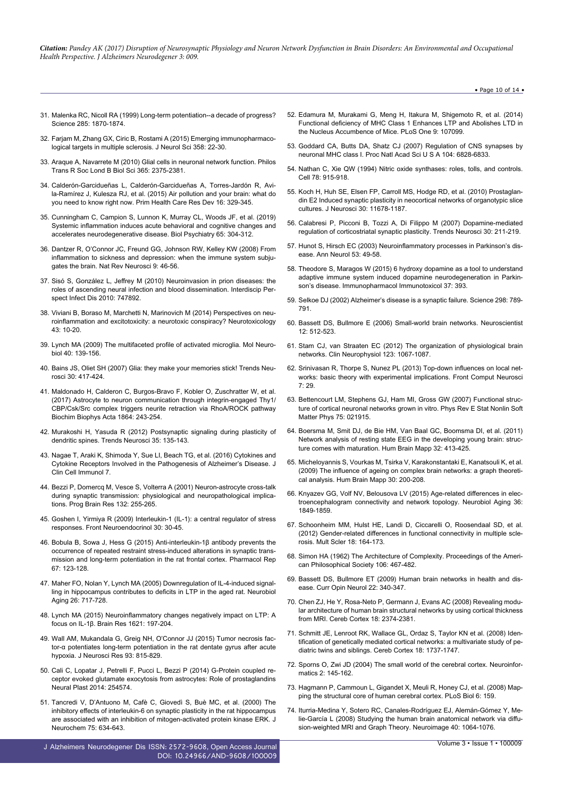- 31. [Malenka RC, Nicoll RA \(1999\) Long-term potentiation--a decade of progress?](https://www.ncbi.nlm.nih.gov/pubmed/10489359) [Science 285: 1870-1874.](https://www.ncbi.nlm.nih.gov/pubmed/10489359)
- 32. Fariam M, Zhang GX, Ciric B, Rostami A (2015) Emerging immunopharmaco[logical targets in multiple sclerosis. J Neurol Sci 358: 22-30.](https://www.ncbi.nlm.nih.gov/pubmed/26440421)
- 33. [Araque A, Navarrete M \(2010\) Glial cells in neuronal network function. Philos](https://www.ncbi.nlm.nih.gov/pmc/articles/PMC2894949/) [Trans R Soc Lond B Biol Sci 365: 2375-2381.](https://www.ncbi.nlm.nih.gov/pmc/articles/PMC2894949/)
- 34. Calderó[n-Garcidueñas L, Calderón-Garcidueñas A, Torres-Jardón R, Avi](https://www.ncbi.nlm.nih.gov/pubmed/25256239)[la-Ramírez J, Kulesza RJ, et al. \(2015\) Air pollution and your brain: what do](https://www.ncbi.nlm.nih.gov/pubmed/25256239) [you need to know right now. Prim Health Care Res Dev 16: 329-345.](https://www.ncbi.nlm.nih.gov/pubmed/25256239)
- 35. [Cunningham C, Campion S, Lunnon K, Murray CL, Woods JF, et al. \(2019\)](https://www.ncbi.nlm.nih.gov/pubmed/18801476) [Systemic inflammation induces acute behavioral and cognitive changes and](https://www.ncbi.nlm.nih.gov/pubmed/18801476) [accelerates neurodegenerative disease. Biol Psychiatry 65: 304-312.](https://www.ncbi.nlm.nih.gov/pubmed/18801476)
- 36. [Dantzer R, O'Connor JC, Freund GG, Johnson RW, Kelley KW \(2008\) From](https://www.ncbi.nlm.nih.gov/pmc/articles/PMC2919277/) [inflammation to sickness and depression: when the immune system subju](https://www.ncbi.nlm.nih.gov/pmc/articles/PMC2919277/)[gates the brain. Nat Rev Neurosci 9: 46-56.](https://www.ncbi.nlm.nih.gov/pmc/articles/PMC2919277/)
- 37. [Sisó S, González L, Jeffrey M \(2010\) Neuroinvasion in prion diseases: the](https://www.hindawi.com/journals/ipid/2010/747892/) [roles of ascending neural infection and blood dissemination. Interdiscip Per](https://www.hindawi.com/journals/ipid/2010/747892/)[spect Infect Dis 2010: 747892.](https://www.hindawi.com/journals/ipid/2010/747892/)
- 38. [Viviani B, Boraso M, Marchetti N, Marinovich M \(2014\) Perspectives on neu](http://www.sciencedirect.com/science/article/pii/S0161813X14000485)[roinflammation and excitotoxicity: a neurotoxic conspiracy? Neurotoxicology](http://www.sciencedirect.com/science/article/pii/S0161813X14000485) [43: 10-20.](http://www.sciencedirect.com/science/article/pii/S0161813X14000485)
- 39. [Lynch MA \(2009\) The multifaceted profile of activated microglia. Mol Neuro](https://www.ncbi.nlm.nih.gov/pubmed/19629762)[biol 40: 139-156.](https://www.ncbi.nlm.nih.gov/pubmed/19629762)
- 40. [Bains JS, Oliet SH \(2007\) Glia: they make your memories stick! Trends Neu](https://www.ncbi.nlm.nih.gov/pubmed/17631972)[rosci 30: 417-424.](https://www.ncbi.nlm.nih.gov/pubmed/17631972)
- 41. [Maldonado H, Calderon C, Burgos-Bravo F, Kobler O, Zuschratter W, et al.](https://www.ncbi.nlm.nih.gov/pubmed/27842221) [\(2017\) Astrocyte to neuron communication through integrin-engaged Thy1/](https://www.ncbi.nlm.nih.gov/pubmed/27842221) [CBP/Csk/Src complex triggers neurite retraction via RhoA/ROCK pathway](https://www.ncbi.nlm.nih.gov/pubmed/27842221) [Biochim Biophys Acta 1864: 243-254.](https://www.ncbi.nlm.nih.gov/pubmed/27842221)
- 42. [Murakoshi H, Yasuda R \(2012\) Postsynaptic signaling during plasticity of](https://www.ncbi.nlm.nih.gov/pmc/articles/PMC3306839/) [dendritic spines. Trends Neurosci 35: 135-143.](https://www.ncbi.nlm.nih.gov/pmc/articles/PMC3306839/)
- 43. [Nagae T, Araki K, Shimoda Y, Sue LI, Beach TG, et al. \(2016\) Cytokines and](https://www.ncbi.nlm.nih.gov/pubmed/27895978) [Cytokine Receptors Involved in the Pathogenesis of Alzheimer's Disease. J](https://www.ncbi.nlm.nih.gov/pubmed/27895978) [Clin Cell Immunol 7.](https://www.ncbi.nlm.nih.gov/pubmed/27895978)
- 44. [Bezzi P, Domercq M, Vesce S, Volterra A \(2001\) Neuron-astrocyte cross-talk](https://www.ncbi.nlm.nih.gov/pubmed/11544994) [during synaptic transmission: physiological and neuropathological implica](https://www.ncbi.nlm.nih.gov/pubmed/11544994)[tions. Prog Brain Res 132: 255-265.](https://www.ncbi.nlm.nih.gov/pubmed/11544994)
- 45. [Goshen I, Yirmiya R \(2009\) Interleukin-1 \(IL-1\): a central regulator of stress](https://www.ncbi.nlm.nih.gov/pubmed/19017533) [responses. Front Neuroendocrinol 30: 30-45.](https://www.ncbi.nlm.nih.gov/pubmed/19017533)
- 46. [Bobula B, Sowa J, Hess G \(2015\) Anti-interleukin-1β antibody prevents the](http://europepmc.org/abstract/med/25560585) [occurrence of repeated restraint stress-induced alterations in synaptic trans](http://europepmc.org/abstract/med/25560585)[mission and long-term potentiation in the rat frontal cortex. Pharmacol Rep](http://europepmc.org/abstract/med/25560585) [67: 123-128.](http://europepmc.org/abstract/med/25560585)
- 47. [Maher FO, Nolan Y, Lynch MA \(2005\) Downregulation of IL-4-induced signal](http://www.sciencedirect.com/science/article/pii/S0197458004002428)[ling in hippocampus contributes to deficits in LTP in the aged rat. Neurobiol](http://www.sciencedirect.com/science/article/pii/S0197458004002428) [Aging 26: 717-728.](http://www.sciencedirect.com/science/article/pii/S0197458004002428)
- 48. [Lynch MA \(2015\) Neuroinflammatory changes negatively impact on LTP: A](https://www.ncbi.nlm.nih.gov/pubmed/25193603) [focus on IL-1β. Brain Res 1621: 197-204.](https://www.ncbi.nlm.nih.gov/pubmed/25193603)
- 49. [Wall AM, Mukandala G, Greig NH, O'Connor JJ \(2015\) Tumor necrosis fac](https://www.ncbi.nlm.nih.gov/pubmed/25641742)[tor-α potentiates long-term potentiation in the rat dentate gyrus after acute](https://www.ncbi.nlm.nih.gov/pubmed/25641742) [hypoxia. J Neurosci Res 93: 815-829.](https://www.ncbi.nlm.nih.gov/pubmed/25641742)
- 50. [Cali C, Lopatar J, Petrelli F, Pucci L, Bezzi P \(2014\) G-Protein coupled re](https://www.hindawi.com/journals/np/2014/254574/)[ceptor evoked glutamate exocytosis from astrocytes: Role of prostaglandins](https://www.hindawi.com/journals/np/2014/254574/) [Neural Plast 2014: 254574.](https://www.hindawi.com/journals/np/2014/254574/)
- 51. [Tancredi V, D'Antuono M, Cafè C, Giovedì S, Buè MC, et al. \(2000\) The](https://www.ncbi.nlm.nih.gov/pubmed/10899938) [inhibitory effects of interleukin-6 on synaptic plasticity in the rat hippocampus](https://www.ncbi.nlm.nih.gov/pubmed/10899938) [are associated with an inhibition of mitogen-activated protein kinase ERK. J](https://www.ncbi.nlm.nih.gov/pubmed/10899938) [Neurochem 75: 634-643.](https://www.ncbi.nlm.nih.gov/pubmed/10899938)
- J Alzheimers Neurodegener Dis ISSN: 2572-9608, Open Access Journal DOI: [10.24966/AND-9608/100009](http://dx.doi.org/10.24966/AND-9608/100009)
- 52. [Edamura M, Murakami G, Meng H, Itakura M, Shigemoto R, et al. \(2014\)](https://www.ncbi.nlm.nih.gov/pubmed/25268136) [Functional deficiency of MHC Class 1 Enhances LTP and Abolishes LTD in](https://www.ncbi.nlm.nih.gov/pubmed/25268136) [the Nucleus Accumbence of Mice. PLoS One 9: 107099.](https://www.ncbi.nlm.nih.gov/pubmed/25268136)
- 53. [Goddard CA, Butts DA, Shatz CJ \(2007\) Regulation of CNS synapses by](https://www.ncbi.nlm.nih.gov/pubmed/17420446) [neuronal MHC class I. Proc Natl Acad Sci U S A 104: 6828-6833.](https://www.ncbi.nlm.nih.gov/pubmed/17420446)
- 54. [Nathan C, Xie QW \(1994\) Nitric oxide synthases: roles, tolls, and controls.](https://www.ncbi.nlm.nih.gov/pubmed/7522969) [Cell 78: 915-918.](https://www.ncbi.nlm.nih.gov/pubmed/7522969)
- 55. [Koch H, Huh SE, Elsen FP, Carroll MS, Hodge RD, et al. \(2010\) Prostaglan](https://www.ncbi.nlm.nih.gov/pubmed/20810888)[din E2 Induced synaptic plasticity in neocortical networks of organotypic slice](https://www.ncbi.nlm.nih.gov/pubmed/20810888) [cultures. J Neurosci 30: 11678-1187.](https://www.ncbi.nlm.nih.gov/pubmed/20810888)
- 56. [Calabresi P, Picconi B, Tozzi A, Di Filippo M \(2007\) Dopamine-mediated](https://www.ncbi.nlm.nih.gov/pubmed/17367873) [regulation of corticostriatal synaptic plasticity. Trends Neurosci 30: 211-219.](https://www.ncbi.nlm.nih.gov/pubmed/17367873)
- 57. [Hunot S, Hirsch EC \(2003\) Neuroinflammatory processes in Parkinson's dis](https://www.ncbi.nlm.nih.gov/pubmed/12666098)[ease. Ann Neurol 53: 49-58.](https://www.ncbi.nlm.nih.gov/pubmed/12666098)
- 58. [Theodore S, Maragos W \(2015\) 6 hydroxy dopamine as a tool to understand](https://www.ncbi.nlm.nih.gov/pubmed/26211726) [adaptive immune system induced dopamine neurodegeneration in Parkin](https://www.ncbi.nlm.nih.gov/pubmed/26211726)[son's disease. Immunopharmacol Immunotoxicol 37: 393.](https://www.ncbi.nlm.nih.gov/pubmed/26211726)
- 59. [Selkoe DJ \(2002\) Alzheimer's disease is a synaptic failure. Science 298: 789-](https://www.ncbi.nlm.nih.gov/pubmed/12399581) [791.](https://www.ncbi.nlm.nih.gov/pubmed/12399581)
- 60. [Bassett DS, Bullmore E \(2006\) Small-world brain networks. Neuroscientist](https://www.ncbi.nlm.nih.gov/pubmed/17079517) [12: 512-523.](https://www.ncbi.nlm.nih.gov/pubmed/17079517)
- 61. [Stam CJ, van Straaten EC \(2012\) The organization of physiological brain](https://www.ncbi.nlm.nih.gov/pubmed/22356937) [networks. Clin Neurophysiol 123: 1067-1087.](https://www.ncbi.nlm.nih.gov/pubmed/22356937)
- 62. [Srinivasan R, Thorpe S, Nunez PL \(2013\) Top-down influences on local net](https://www.ncbi.nlm.nih.gov/pubmed/23616762)[works: basic theory with experimental implications. Front Comput Neurosci](https://www.ncbi.nlm.nih.gov/pubmed/23616762) [7: 29.](https://www.ncbi.nlm.nih.gov/pubmed/23616762)
- 63. [Bettencourt LM, Stephens GJ, Ham MI, Gross GW \(2007\) Functional struc](https://www.ncbi.nlm.nih.gov/pubmed/17358375)[ture of cortical neuronal networks grown in vitro. Phys Rev E Stat Nonlin Soft](https://www.ncbi.nlm.nih.gov/pubmed/17358375) [Matter Phys 75: 021915.](https://www.ncbi.nlm.nih.gov/pubmed/17358375)
- 64. [Boersma M, Smit DJ, de Bie HM, Van Baal GC, Boomsma DI, et al. \(2011\)](https://www.ncbi.nlm.nih.gov/pubmed/20589941) [Network analysis of resting state EEG in the developing young brain: struc](https://www.ncbi.nlm.nih.gov/pubmed/20589941)[ture comes with maturation. Hum Brain Mapp 32: 413-425.](https://www.ncbi.nlm.nih.gov/pubmed/20589941)
- 65. [Micheloyannis S, Vourkas M, Tsirka V, Karakonstantaki E, Kanatsouli K, et al.](https://www.ncbi.nlm.nih.gov/pubmed/17990300) [\(2009\) The influence of ageing on complex brain networks: a graph theoreti](https://www.ncbi.nlm.nih.gov/pubmed/17990300)[cal analysis. Hum Brain Mapp 30: 200-208.](https://www.ncbi.nlm.nih.gov/pubmed/17990300)
- 66. [Knyazev GG, Volf NV, Belousova LV \(2015\) Age-related differences in elec](https://www.ncbi.nlm.nih.gov/pubmed/25766772)[troencephalogram connectivity and network topology. Neurobiol Aging 36:](https://www.ncbi.nlm.nih.gov/pubmed/25766772) [1849-1859.](https://www.ncbi.nlm.nih.gov/pubmed/25766772)
- 67. [Schoonheim MM, Hulst HE, Landi D, Ciccarelli O, Roosendaal SD, et al.](https://www.ncbi.nlm.nih.gov/pubmed/21908484) [\(2012\) Gender-related differences in functional connectivity in multiple scle](https://www.ncbi.nlm.nih.gov/pubmed/21908484)[rosis. Mult Scler 18: 164-173.](https://www.ncbi.nlm.nih.gov/pubmed/21908484)
- 68. [Simon HA \(1962\) The Architecture of Complexity. Proceedings of the Ameri](http://www.cs.brandeis.edu/~cs146a/handouts/papers/simon-complexity.pdf)[can Philosophical Society 106: 467-482.](http://www.cs.brandeis.edu/~cs146a/handouts/papers/simon-complexity.pdf)
- 69. [Bassett DS, Bullmore ET \(2009\) Human brain networks in health and dis](https://www.ncbi.nlm.nih.gov/pubmed/19494774)[ease. Curr Opin Neurol 22: 340-347.](https://www.ncbi.nlm.nih.gov/pubmed/19494774)
- 70. [Chen ZJ, He Y, Rosa-Neto P, Germann J, Evans AC \(2008\) Revealing modu](https://www.ncbi.nlm.nih.gov/pubmed/18267952)[lar architecture of human brain structural networks by using cortical thickness](https://www.ncbi.nlm.nih.gov/pubmed/18267952) [from MRI. Cereb Cortex 18: 2374-2381.](https://www.ncbi.nlm.nih.gov/pubmed/18267952)
- 71. [Schmitt JE, Lenroot RK, Wallace GL, Ordaz S, Taylor KN et al. \(2008\) Iden](https://www.ncbi.nlm.nih.gov/pubmed/18234689)[tification of genetically mediated cortical networks: a multivariate study of pe](https://www.ncbi.nlm.nih.gov/pubmed/18234689)[diatric twins and siblings. Cereb Cortex 18: 1737-1747.](https://www.ncbi.nlm.nih.gov/pubmed/18234689)
- 72. [Sporns O, Zwi JD \(2004\) The small world of the cerebral cortex. Neuroinfor](https://www.ncbi.nlm.nih.gov/pubmed/15319512)[matics 2: 145-162.](https://www.ncbi.nlm.nih.gov/pubmed/15319512)
- 73. [Hagmann P, Cammoun L, Gigandet X, Meuli R, Honey CJ, et al. \(2008\) Map](https://www.ncbi.nlm.nih.gov/pubmed/18597554)[ping the structural core of human cerebral cortex. PLoS Biol 6: 159.](https://www.ncbi.nlm.nih.gov/pubmed/18597554)
- 74. [Iturria-Medina Y, Sotero RC, Canales-Rodríguez EJ, Alemán-Gómez Y, Me](https://www.ncbi.nlm.nih.gov/pubmed/18272400)[lie-García L \(2008\) Studying the human brain anatomical network via diffu](https://www.ncbi.nlm.nih.gov/pubmed/18272400)[sion-weighted MRI and Graph Theory. Neuroimage 40: 1064-1076.](https://www.ncbi.nlm.nih.gov/pubmed/18272400)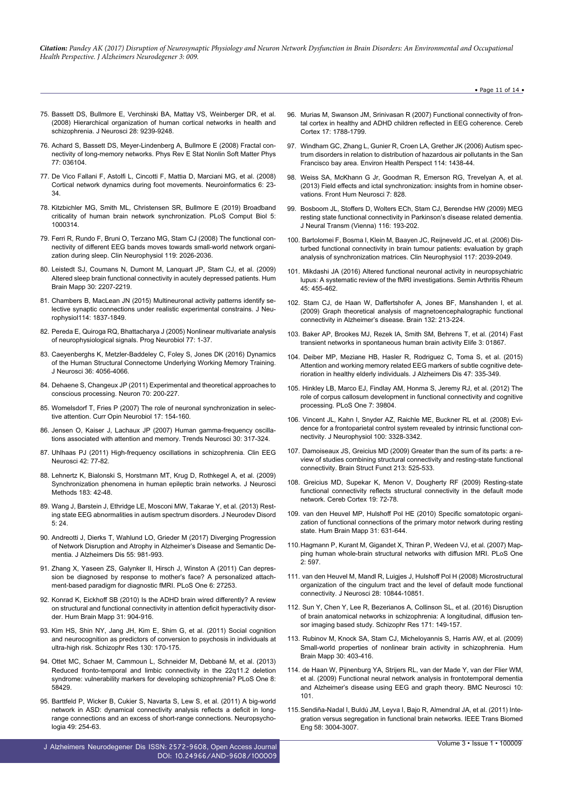• Page 11 of 14 •

- 75. [Bassett DS, Bullmore E, Verchinski BA, Mattay VS, Weinberger DR, et al.](https://www.ncbi.nlm.nih.gov/pubmed/18784304) [\(2008\) Hierarchical organization of human cortical networks in health and](https://www.ncbi.nlm.nih.gov/pubmed/18784304) [schizophrenia. J Neurosci 28: 9239-9248.](https://www.ncbi.nlm.nih.gov/pubmed/18784304)
- 76. [Achard S, Bassett DS, Meyer-Lindenberg A, Bullmore E \(2008\) Fractal con](https://www.ncbi.nlm.nih.gov/pubmed/18517458)[nectivity of long-memory networks. Phys Rev E Stat Nonlin Soft Matter Phys](https://www.ncbi.nlm.nih.gov/pubmed/18517458) [77: 036104.](https://www.ncbi.nlm.nih.gov/pubmed/18517458)
- 77. [De Vico Fallani F, Astolfi L, Cincotti F, Mattia D, Marciani MG, et al. \(2008\)](https://www.ncbi.nlm.nih.gov/pubmed/18266112) [Cortical network dynamics during foot movements. Neuroinformatics 6: 23-](https://www.ncbi.nlm.nih.gov/pubmed/18266112) [34.](https://www.ncbi.nlm.nih.gov/pubmed/18266112)
- 78. [Kitzbichler MG, Smith ML, Christensen SR, Bullmore E \(2019\) Broadband](https://www.ncbi.nlm.nih.gov/pubmed/19300473) [criticality of human brain network synchronization. PLoS Comput Biol 5:](https://www.ncbi.nlm.nih.gov/pubmed/19300473) [1000314.](https://www.ncbi.nlm.nih.gov/pubmed/19300473)
- 79. [Ferri R, Rundo F, Bruni O, Terzano MG, Stam CJ \(2008\) The functional con](https://www.ncbi.nlm.nih.gov/pubmed/18571469)[nectivity of different EEG bands moves towards small-world network organi](https://www.ncbi.nlm.nih.gov/pubmed/18571469)[zation during sleep. Clin Neurophysiol 119: 2026-2036.](https://www.ncbi.nlm.nih.gov/pubmed/18571469)
- 80. [Leistedt SJ, Coumans N, Dumont M, Lanquart JP, Stam CJ, et al. \(2009\)](https://www.ncbi.nlm.nih.gov/pubmed/18937282) [Altered sleep brain functional connectivity in acutely depressed patients. Hum](https://www.ncbi.nlm.nih.gov/pubmed/18937282) [Brain Mapp 30: 2207-2219.](https://www.ncbi.nlm.nih.gov/pubmed/18937282)
- 81. [Chambers B, MacLean JN \(2015\) Multineuronal activity patterns identify se](http://jn.physiology.org/content/114/3/1837)[lective synaptic connections under realistic experimental constrains. J Neu](http://jn.physiology.org/content/114/3/1837)[rophysiol114: 1837-1849.](http://jn.physiology.org/content/114/3/1837)
- 82. [Pereda E, Quiroga RQ, Bhattacharya J \(2005\) Nonlinear multivariate analysis](https://www.ncbi.nlm.nih.gov/pubmed/16289760) [of neurophysiological signals. Prog Neurobiol 77: 1-37.](https://www.ncbi.nlm.nih.gov/pubmed/16289760)
- 83. [Caeyenberghs K, Metzler-Baddeley C, Foley S, Jones DK \(2016\) Dynamics](https://www.ncbi.nlm.nih.gov/pmc/articles/PMC4821915/) [of the Human Structural Connectome Underlying Working Memory Training.](https://www.ncbi.nlm.nih.gov/pmc/articles/PMC4821915/) [J Neurosci 36: 4056-4066.](https://www.ncbi.nlm.nih.gov/pmc/articles/PMC4821915/)
- 84. [Dehaene S, Changeux JP \(2011\) Experimental and theoretical approaches to](https://www.ncbi.nlm.nih.gov/pubmed/21521609) [conscious processing. Neuron 70: 200-227.](https://www.ncbi.nlm.nih.gov/pubmed/21521609)
- 85. [Womelsdorf T, Fries P \(2007\) The role of neuronal synchronization in selec](https://www.ncbi.nlm.nih.gov/pubmed/17306527)[tive attention. Curr Opin Neurobiol 17: 154-160.](https://www.ncbi.nlm.nih.gov/pubmed/17306527)
- 86. [Jensen O, Kaiser J, Lachaux JP \(2007\) Human gamma-frequency oscilla](https://www.ncbi.nlm.nih.gov/pubmed/17499860)[tions associated with attention and memory. Trends Neurosci 30: 317-324.](https://www.ncbi.nlm.nih.gov/pubmed/17499860)
- 87. [Uhlhaas PJ \(2011\) High-frequency oscillations in schizophrenia. Clin EEG](https://www.ncbi.nlm.nih.gov/pubmed/21675597) [Neurosci 42: 77-82.](https://www.ncbi.nlm.nih.gov/pubmed/21675597)
- 88. [Lehnertz K, Bialonski S, Horstmann MT, Krug D, Rothkegel A, et al. \(2009\)](https://www.ncbi.nlm.nih.gov/pubmed/19481573) [Synchronization phenomena in human epileptic brain networks. J Neurosci](https://www.ncbi.nlm.nih.gov/pubmed/19481573) [Methods 183: 42-48.](https://www.ncbi.nlm.nih.gov/pubmed/19481573)
- 89. [Wang J, Barstein J, Ethridge LE, Mosconi MW, Takarae Y, et al. \(2013\) Rest](https://www.ncbi.nlm.nih.gov/pubmed/24040879)[ing state EEG abnormalities in autism spectrum disorders. J Neurodev Disord](https://www.ncbi.nlm.nih.gov/pubmed/24040879) [5: 24.](https://www.ncbi.nlm.nih.gov/pubmed/24040879)
- 90. [Andreotti J, Dierks T, Wahlund LO, Grieder M \(2017\) Diverging Progression](https://www.ncbi.nlm.nih.gov/pubmed/27802229) [of Network Disruption and Atrophy in Alzheimer's Disease and Semantic De](https://www.ncbi.nlm.nih.gov/pubmed/27802229)[mentia. J Alzheimers Dis 55: 981-993.](https://www.ncbi.nlm.nih.gov/pubmed/27802229)
- 91. [Zhang X, Yaseen ZS, Galynker II, Hirsch J, Winston A \(2011\) Can depres](https://www.ncbi.nlm.nih.gov/pubmed/22180777)[sion be diagnosed by response to mother's face? A personalized attach](https://www.ncbi.nlm.nih.gov/pubmed/22180777)[ment-based paradigm for diagnostic fMRI. PLoS One 6: 27253.](https://www.ncbi.nlm.nih.gov/pubmed/22180777)
- 92. [Konrad K, Eickhoff SB \(2010\) Is the ADHD brain wired differently? A review](https://www.ncbi.nlm.nih.gov/pubmed/20496381) [on structural and functional connectivity in attention deficit hyperactivity disor](https://www.ncbi.nlm.nih.gov/pubmed/20496381)[der. Hum Brain Mapp 31: 904-916.](https://www.ncbi.nlm.nih.gov/pubmed/20496381)
- 93. [Kim HS, Shin NY, Jang JH, Kim E, Shim G, et al. \(2011\) Social cognition](https://www.ncbi.nlm.nih.gov/pubmed/21620681) [and neurocognition as predictors of conversion to psychosis in individuals at](https://www.ncbi.nlm.nih.gov/pubmed/21620681) [ultra-high risk. Schizophr Res 130: 170-175.](https://www.ncbi.nlm.nih.gov/pubmed/21620681)
- 94. [Ottet MC, Schaer M, Cammoun L, Schneider M, Debbané M, et al. \(2013\)](https://www.ncbi.nlm.nih.gov/pubmed/23533586) [Reduced fronto-temporal and limbic connectivity in the 22q11.2 deletion](https://www.ncbi.nlm.nih.gov/pubmed/23533586) [syndrome: vulnerability markers for developing schizophrenia? PLoS One 8:](https://www.ncbi.nlm.nih.gov/pubmed/23533586) [58429.](https://www.ncbi.nlm.nih.gov/pubmed/23533586)
- 95. [Barttfeld P, Wicker B, Cukier S, Navarta S, Lew S, et al. \(2011\) A big-world](http://www.sciencedirect.com/science/article/pii/S002839321000504X) [network in ASD: dynamical connectivity analysis reflects a deficit in long](http://www.sciencedirect.com/science/article/pii/S002839321000504X)[range connections and an excess of short-range connections. Neuropsycho](http://www.sciencedirect.com/science/article/pii/S002839321000504X)[logia 49: 254-63.](http://www.sciencedirect.com/science/article/pii/S002839321000504X)

J Alzheimers Neurodegener Dis ISSN: 2572-9608, Open Access Journal DOI: [10.24966/AND-9608/100009](http://dx.doi.org/10.24966/AND-9608/100009)

- 96. [Murias M, Swanson JM, Srinivasan R \(2007\) Functional connectivity of fron](https://www.ncbi.nlm.nih.gov/pubmed/17023555)[tal cortex in healthy and ADHD children reflected in EEG coherence. Cereb](https://www.ncbi.nlm.nih.gov/pubmed/17023555) [Cortex 17: 1788-1799.](https://www.ncbi.nlm.nih.gov/pubmed/17023555)
- 97. [Windham GC, Zhang L, Gunier R, Croen LA, Grether JK \(2006\) Autism spec](https://www.ncbi.nlm.nih.gov/pubmed/16966102)[trum disorders in relation to distribution of hazardous air pollutants in the San](https://www.ncbi.nlm.nih.gov/pubmed/16966102) [Francisco bay area. Environ Health Perspect 114: 1438-44.](https://www.ncbi.nlm.nih.gov/pubmed/16966102)
- 98. [Weiss SA, McKhann G Jr, Goodman R, Emerson RG, Trevelyan A, et al.](https://www.ncbi.nlm.nih.gov/pubmed/24367311) [\(2013\) Field effects and ictal synchronization: insights from in homine obser](https://www.ncbi.nlm.nih.gov/pubmed/24367311)[vations. Front Hum Neurosci 7: 828.](https://www.ncbi.nlm.nih.gov/pubmed/24367311)
- 99. [Bosboom JL, Stoffers D, Wolters ECh, Stam CJ, Berendse HW \(2009\) MEG](https://www.ncbi.nlm.nih.gov/pubmed/18982241) [resting state functional connectivity in Parkinson's disease related dementia.](https://www.ncbi.nlm.nih.gov/pubmed/18982241) [J Neural Transm \(Vienna\) 116: 193-202.](https://www.ncbi.nlm.nih.gov/pubmed/18982241)
- 100. [Bartolomei F, Bosma I, Klein M, Baayen JC, Reijneveld JC, et al. \(2006\) Dis](https://www.ncbi.nlm.nih.gov/pubmed/16859985)[turbed functional connectivity in brain tumour patients: evaluation by graph](https://www.ncbi.nlm.nih.gov/pubmed/16859985) [analysis of synchronization matrices. Clin Neurophysiol 117: 2039-2049.](https://www.ncbi.nlm.nih.gov/pubmed/16859985)
- 101. [Mikdashi JA \(2016\) Altered functional neuronal activity in neuropsychiatric](https://www.ncbi.nlm.nih.gov/pubmed/26897255) [lupus: A systematic review of the fMRI investigations. Semin Arthritis Rheum](https://www.ncbi.nlm.nih.gov/pubmed/26897255) [45: 455-462.](https://www.ncbi.nlm.nih.gov/pubmed/26897255)
- 102. [Stam CJ, de Haan W, Daffertshofer A, Jones BF, Manshanden I, et al.](https://www.ncbi.nlm.nih.gov/pubmed/18952674) [\(2009\) Graph theoretical analysis of magnetoencephalographic functional](https://www.ncbi.nlm.nih.gov/pubmed/18952674) [connectivity in Alzheimer's disease. Brain 132: 213-224.](https://www.ncbi.nlm.nih.gov/pubmed/18952674)
- 103. [Baker AP, Brookes MJ, Rezek IA, Smith SM, Behrens T, et al. \(2014\) Fast](https://www.ncbi.nlm.nih.gov/pubmed/24668169) [transient networks in spontaneous human brain activity Elife 3: 01867.](https://www.ncbi.nlm.nih.gov/pubmed/24668169)
- 104. [Deiber MP, Meziane HB, Hasler R, Rodriguez C, Toma S, et al. \(2015\)](https://www.ncbi.nlm.nih.gov/pubmed/26401557) [Attention and working memory related EEG markers of subtle cognitive dete](https://www.ncbi.nlm.nih.gov/pubmed/26401557)[rioration in healthy elderly individuals. J Alzheimers Dis 47: 335-349.](https://www.ncbi.nlm.nih.gov/pubmed/26401557)
- 105. [Hinkley LB, Marco EJ, Findlay AM, Honma S, Jeremy RJ, et al. \(2012\) The](https://www.ncbi.nlm.nih.gov/pmc/articles/PMC3411722/) [role of corpus callosum development in functional connectivity and cognitive](https://www.ncbi.nlm.nih.gov/pmc/articles/PMC3411722/) [processing. PLoS One 7: 39804.](https://www.ncbi.nlm.nih.gov/pmc/articles/PMC3411722/)
- 106. [Vincent JL, Kahn I, Snyder AZ, Raichle ME, Buckner RL et al. \(2008\) Evi](https://www.ncbi.nlm.nih.gov/pubmed/18799601)[dence for a frontoparietal control system revealed by intrinsic functional con](https://www.ncbi.nlm.nih.gov/pubmed/18799601)[nectivity. J Neurophysiol 100: 3328-3342.](https://www.ncbi.nlm.nih.gov/pubmed/18799601)
- 107. [Damoiseaux JS, Greicius MD \(2009\) Greater than the sum of its parts: a re](https://www.ncbi.nlm.nih.gov/pubmed/19565262)[view of studies combining structural connectivity and resting-state functional](https://www.ncbi.nlm.nih.gov/pubmed/19565262) [connectivity. Brain Struct Funct 213: 525-533.](https://www.ncbi.nlm.nih.gov/pubmed/19565262)
- 108. [Greicius MD, Supekar K, Menon V, Dougherty RF \(2009\) Resting-state](https://www.ncbi.nlm.nih.gov/pubmed/18403396) [functional connectivity reflects structural connectivity in the default mode](https://www.ncbi.nlm.nih.gov/pubmed/18403396) [network. Cereb Cortex 19: 72-78.](https://www.ncbi.nlm.nih.gov/pubmed/18403396)
- 109. [van den Heuvel MP, Hulshoff Pol HE \(2010\) Specific somatotopic organi](https://www.ncbi.nlm.nih.gov/pubmed/19830684)[zation of functional connections of the primary motor network during resting](https://www.ncbi.nlm.nih.gov/pubmed/19830684) [state. Hum Brain Mapp 31: 631-644.](https://www.ncbi.nlm.nih.gov/pubmed/19830684)
- 110.[Hagmann P, Kurant M, Gigandet X, Thiran P, Wedeen VJ, et al. \(2007\) Map](https://www.ncbi.nlm.nih.gov/pubmed/17611629)[ping human whole-brain structural networks with diffusion MRI. PLoS One](https://www.ncbi.nlm.nih.gov/pubmed/17611629)  $2.597$
- 111. [van den Heuvel M, Mandl R, Luigjes J, Hulshoff Pol H \(2008\) Microstructural](https://www.ncbi.nlm.nih.gov/pubmed/18945892) [organization of the cingulum tract and the level of default mode functional](https://www.ncbi.nlm.nih.gov/pubmed/18945892) [connectivity. J Neurosci 28: 10844-10851.](https://www.ncbi.nlm.nih.gov/pubmed/18945892)
- 112. [Sun Y, Chen Y, Lee R, Bezerianos A, Collinson SL, et al. \(2016\) Disruption](https://www.ncbi.nlm.nih.gov/pubmed/26811255) [of brain anatomical networks in schizophrenia: A longitudinal, diffusion ten](https://www.ncbi.nlm.nih.gov/pubmed/26811255)[sor imaging based study. Schizophr Res 171: 149-157.](https://www.ncbi.nlm.nih.gov/pubmed/26811255)
- 113. [Rubinov M, Knock SA, Stam CJ, Micheloyannis S, Harris AW, et al. \(2009\)](https://www.ncbi.nlm.nih.gov/pubmed/18072237) [Small-world properties of nonlinear brain activity in schizophrenia. Hum](https://www.ncbi.nlm.nih.gov/pubmed/18072237) [Brain Mapp 30: 403-416.](https://www.ncbi.nlm.nih.gov/pubmed/18072237)
- 114. [de Haan W, Pijnenburg YA, Strijers RL, van der Made Y, van der Flier WM,](https://www.ncbi.nlm.nih.gov/pubmed/19698093) [et al. \(2009\) Functional neural network analysis in frontotemporal dementia](https://www.ncbi.nlm.nih.gov/pubmed/19698093) [and Alzheimer's disease using EEG and graph theory. BMC Neurosci 10:](https://www.ncbi.nlm.nih.gov/pubmed/19698093) [101.](https://www.ncbi.nlm.nih.gov/pubmed/19698093)
- 115.[Sendiña-Nadal I, Buldú JM, Leyva I, Bajo R, Almendral JA, et al. \(2011\) Inte](https://www.ncbi.nlm.nih.gov/pubmed/21724498)[gration versus segregation in functional brain networks. IEEE Trans Biomed](https://www.ncbi.nlm.nih.gov/pubmed/21724498) [Eng 58: 3004-3007.](https://www.ncbi.nlm.nih.gov/pubmed/21724498)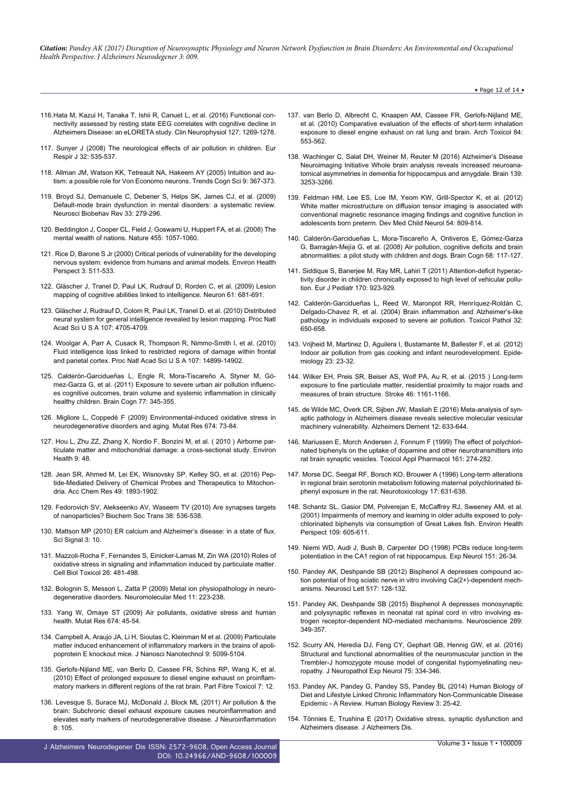#### • Page 12 of 14 •

- 116.[Hata M, Kazui H, Tanaka T, Ishii R, Canuet L, et al. \(2016\) Functional con](https://www.ncbi.nlm.nih.gov/pubmed/26541308)[nectivity assessed by resting state EEG correlates with cognitive decline in](https://www.ncbi.nlm.nih.gov/pubmed/26541308) [Alzheimers Disease: an eLORETA study. Clin Neurophysiol 127: 1269-1278.](https://www.ncbi.nlm.nih.gov/pubmed/26541308)
- 117. [Sunyer J \(2008\) The neurological effects of air pollution in children. Eur](https://www.ncbi.nlm.nih.gov/pubmed/18757691) [Respir J 32: 535-537.](https://www.ncbi.nlm.nih.gov/pubmed/18757691)
- 118. [Allman JM, Watson KK, Tetreault NA, Hakeem AY \(2005\) Intuition and au](https://www.ncbi.nlm.nih.gov/pubmed/16002323)[tism: a possible role for Von Economo neurons. Trends Cogn Sci 9: 367-373.](https://www.ncbi.nlm.nih.gov/pubmed/16002323)
- 119. [Broyd SJ, Demanuele C, Debener S, Helps SK, James CJ, et al. \(2009\)](https://www.ncbi.nlm.nih.gov/pubmed/18824195) [Default-mode brain dysfunction in mental disorders: a systematic review.](https://www.ncbi.nlm.nih.gov/pubmed/18824195) [Neurosci Biobehav Rev 33: 279-296.](https://www.ncbi.nlm.nih.gov/pubmed/18824195)
- 120. [Beddington J, Cooper CL, Field J, Goswami U, Huppert FA, et al. \(2008\) The](http://www.nature.com/nature/journal/v455/n7216/full/4551057a.html) [mental wealth of nations. Nature 455: 1057-1060.](http://www.nature.com/nature/journal/v455/n7216/full/4551057a.html)
- 121. [Rice D, Barone S Jr \(2000\) Critical periods of vulnerability for the developing](https://www.ncbi.nlm.nih.gov/pmc/articles/PMC1637807/) [nervous system: evidence from humans and animal models. Environ Health](https://www.ncbi.nlm.nih.gov/pmc/articles/PMC1637807/) [Perspect 3: 511-533.](https://www.ncbi.nlm.nih.gov/pmc/articles/PMC1637807/)
- 122. [Gläscher J, Tranel D, Paul LK, Rudrauf D, Rorden C, et al. \(2009\) Lesion](https://www.ncbi.nlm.nih.gov/pubmed/19285465) [mapping of cognitive abilities linked to intelligence. Neuron 61: 681-691.](https://www.ncbi.nlm.nih.gov/pubmed/19285465)
- 123. [Gläscher J, Rudrauf D, Colom R, Paul LK, Tranel D, et al. \(2010\) Distributed](https://www.ncbi.nlm.nih.gov/pubmed/20176936) [neural system for general intelligence revealed by lesion mapping. Proc Natl](https://www.ncbi.nlm.nih.gov/pubmed/20176936) [Acad Sci U S A 107: 4705-4709.](https://www.ncbi.nlm.nih.gov/pubmed/20176936)
- 124. [Woolgar A, Parr A, Cusack R, Thompson R, Nimmo-Smith I, et al. \(2010\)](http://www.pnas.org/content/107/33/14899.abstract) [Fluid intelligence loss linked to restricted regions of damage within frontal](http://www.pnas.org/content/107/33/14899.abstract) [and parietal cortex. Proc Natl Acad Sci U S A 107: 14899-14902.](http://www.pnas.org/content/107/33/14899.abstract)
- 125. [Calderón-Garcidueñas L, Engle R, Mora-Tiscareño A, Styner M, Gó](https://www.ncbi.nlm.nih.gov/pubmed/22032805)[mez-Garza G, et al. \(2011\) Exposure to severe urban air pollution influenc](https://www.ncbi.nlm.nih.gov/pubmed/22032805)[es cognitive outcomes, brain volume and systemic inflammation in clinically](https://www.ncbi.nlm.nih.gov/pubmed/22032805) [healthy children. Brain Cogn 77: 345-355.](https://www.ncbi.nlm.nih.gov/pubmed/22032805)
- 126. [Migliore L, Coppedè F \(2009\) Environmental-induced oxidative stress in](https://www.ncbi.nlm.nih.gov/pubmed/18952194) [neurodegenerative disorders and aging. Mutat Res 674: 73-84.](https://www.ncbi.nlm.nih.gov/pubmed/18952194)
- 127. [Hou L, Zhu ZZ, Zhang X, Nordio F, Bonzini M, et al. \( 2010 \) Airborne par](https://www.ncbi.nlm.nih.gov/pubmed/20696069)[ticulate matter and mitochondrial damage: a cross-sectional study. Environ](https://www.ncbi.nlm.nih.gov/pubmed/20696069) [Health 9: 48.](https://www.ncbi.nlm.nih.gov/pubmed/20696069)
- 128. [Jean SR, Ahmed M, Lei EK, Wisnovsky SP, Kelley SO, et al. \(2016\) Pep](https://www.ncbi.nlm.nih.gov/pubmed/27529125)[tide-Mediated Delivery of Chemical Probes and Therapeutics to Mitochon](https://www.ncbi.nlm.nih.gov/pubmed/27529125)[dria. Acc Chem Res 49: 1893-1902.](https://www.ncbi.nlm.nih.gov/pubmed/27529125)
- 129. [Fedorovich SV, Alekseenko AV, Waseem TV \(2010\) Are synapses targets](https://www.ncbi.nlm.nih.gov/pubmed/20298217) [of nanoparticles? Biochem Soc Trans 38: 536-538.](https://www.ncbi.nlm.nih.gov/pubmed/20298217)
- 130. [Mattson MP \(2010\) ER calcium and Alzheimer's disease: in a state of flux.](https://www.ncbi.nlm.nih.gov/pubmed/20332425) [Sci Signal 3: 10.](https://www.ncbi.nlm.nih.gov/pubmed/20332425)
- 131. [Mazzoli-Rocha F, Fernandes S, Einicker-Lamas M, Zin WA \(2010\) Roles of](https://www.ncbi.nlm.nih.gov/pubmed/20340042) [oxidative stress in signaling and inflammation induced by particulate matter.](https://www.ncbi.nlm.nih.gov/pubmed/20340042) [Cell Biol Toxicol 26: 481-498.](https://www.ncbi.nlm.nih.gov/pubmed/20340042)
- 132. [Bolognin S, Messori L, Zatta P \(2009\) Metal ion physiopathology in neuro](https://www.ncbi.nlm.nih.gov/pubmed/19946766)[degenerative disorders. Neuromolecular Med 11: 223-238.](https://www.ncbi.nlm.nih.gov/pubmed/19946766)
- 133. [Yang W, Omaye ST \(2009\) Air pollutants, oxidative stress and human](https://www.ncbi.nlm.nih.gov/pubmed/19013537) [health. Mutat Res 674: 45-54.](https://www.ncbi.nlm.nih.gov/pubmed/19013537)
- 134. [Campbell A, Araujo JA, Li H, Sioutas C, Kleinman M et al. \(2009\) Particulate](https://www.ncbi.nlm.nih.gov/pubmed/19928188) [matter induced enhancement of inflammatory markers in the brains of apoli](https://www.ncbi.nlm.nih.gov/pubmed/19928188)[poprotein E knockout mice. J Nanosci Nanotechnol 9: 5099-5104.](https://www.ncbi.nlm.nih.gov/pubmed/19928188)
- 135. [Gerlofs-Nijland ME, van Berlo D, Cassee FR, Schins RP, Wang K, et al.](https://www.ncbi.nlm.nih.gov/pubmed/20478040) [\(2010\) Effect of prolonged exposure to diesel engine exhaust on proinflam](https://www.ncbi.nlm.nih.gov/pubmed/20478040)[matory markers in different regions of the rat brain. Part Fibre Toxicol 7: 12.](https://www.ncbi.nlm.nih.gov/pubmed/20478040)
- 136. [Levesque S, Surace MJ, McDonald J, Block ML \(2011\) Air pollution & the](https://www.ncbi.nlm.nih.gov/pubmed/21864400) [brain: Subchronic diesel exhaust exposure causes neuroinflammation and](https://www.ncbi.nlm.nih.gov/pubmed/21864400) [elevates early markers of neurodegenerative disease. J Neuroinflammation](https://www.ncbi.nlm.nih.gov/pubmed/21864400) [8: 105.](https://www.ncbi.nlm.nih.gov/pubmed/21864400)

J Alzheimers Neurodegener Dis ISSN: 2572-9608, Open Access Journal DOI: [10.24966/AND-9608/100009](http://dx.doi.org/10.24966/AND-9608/100009)

- 137. [van Berlo D, Albrecht C, Knaapen AM, Cassee FR, Gerlofs-Nijland ME,](https://www.ncbi.nlm.nih.gov/pubmed/20467864) [et al. \(2010\) Comparative evaluation of the effects of short-term inhalation](https://www.ncbi.nlm.nih.gov/pubmed/20467864) [exposure to diesel engine exhaust on rat lung and brain. Arch Toxicol 84:](https://www.ncbi.nlm.nih.gov/pubmed/20467864) [553-562.](https://www.ncbi.nlm.nih.gov/pubmed/20467864)
- 138. [Wachinger C, Salat DH, Weiner M, Reuter M \(2016\) Alzheimer's Disease](https://www.ncbi.nlm.nih.gov/pubmed/27913407) [Neuroimaging Initiative Whole brain analysis reveals increased neuroana](https://www.ncbi.nlm.nih.gov/pubmed/27913407)[tomical asymmetries in dementia for hippocampus and amygdale. Brain 139:](https://www.ncbi.nlm.nih.gov/pubmed/27913407) [3253-3266.](https://www.ncbi.nlm.nih.gov/pubmed/27913407)
- 139. [Feldman HM, Lee ES, Loe IM, Yeom KW, Grill-Spector K, et al. \(2012\)](https://www.ncbi.nlm.nih.gov/pubmed/22803787) [White matter microstructure on diffusion tensor imaging is associated with](https://www.ncbi.nlm.nih.gov/pubmed/22803787) [conventional magnetic resonance imaging findings and cognitive function in](https://www.ncbi.nlm.nih.gov/pubmed/22803787) [adolescents born preterm. Dev Med Child Neurol 54: 809-814.](https://www.ncbi.nlm.nih.gov/pubmed/22803787)
- 140. [Calderón-Garcidueñas L, Mora-Tiscareño A, Ontiveros E, Gómez-Garza](https://www.ncbi.nlm.nih.gov/pubmed/18550243) [G, Barragán-Mejía G, et al. \(2008\) Air pollution, cognitive deficits and brain](https://www.ncbi.nlm.nih.gov/pubmed/18550243) abnormalities: a pilot study with children and dogs. Brain Cogn 68: 117-127.
- 141. [Siddique S, Banerjee M, Ray MR, Lahiri T \(2011\) Attention-deficit hyperac](https://www.ncbi.nlm.nih.gov/pubmed/21191614)[tivity disorder in children chronically exposed to high level of vehicular pollu](https://www.ncbi.nlm.nih.gov/pubmed/21191614)[tion. Eur J Pediatr 170: 923-929.](https://www.ncbi.nlm.nih.gov/pubmed/21191614)
- 142. [Calderón-Garcidueñas L, Reed W, Maronpot RR, Henríquez-Roldán C,](https://www.ncbi.nlm.nih.gov/pubmed/15513908) [Delgado-Chavez R, et al. \(2004\) Brain inflammation and Alzheimer's-like](https://www.ncbi.nlm.nih.gov/pubmed/15513908) [pathology in individuals exposed to severe air pollution. Toxicol Pathol 32:](https://www.ncbi.nlm.nih.gov/pubmed/15513908) [650-658.](https://www.ncbi.nlm.nih.gov/pubmed/15513908)
- 143. [Vrijheid M, Martinez D, Aguilera I, Bustamante M, Ballester F, et al. \(2012\)](https://www.ncbi.nlm.nih.gov/pubmed/22082993) [Indoor air pollution from gas cooking and infant neurodevelopment. Epide](https://www.ncbi.nlm.nih.gov/pubmed/22082993)[miology 23: 23-32.](https://www.ncbi.nlm.nih.gov/pubmed/22082993)
- 144. [Wilker EH, Preis SR, Beiser AS, Wolf PA, Au R, et al. \(2015 \) Long-term](https://www.ncbi.nlm.nih.gov/pmc/articles/PMC4414870/) [exposure to fine particulate matter, residential proximity to major roads and](https://www.ncbi.nlm.nih.gov/pmc/articles/PMC4414870/) [measures of brain structure. Stroke 46: 1161-1166.](https://www.ncbi.nlm.nih.gov/pmc/articles/PMC4414870/)
- 145. [de Wilde MC, Overk CR, Sijben JW, Masliah E \(2016\) Meta-analysis of syn](https://www.ncbi.nlm.nih.gov/pubmed/26776762)[aptic pathology in Alzheimers disease reveals selective molecular vesicular](https://www.ncbi.nlm.nih.gov/pubmed/26776762) [machinery vulnerability. Alzheimers Dement 12: 633-644.](https://www.ncbi.nlm.nih.gov/pubmed/26776762)
- 146. [Mariussen E, Morch Andersen J, Fonnum F \(1999\) The effect of polychlori](https://www.ncbi.nlm.nih.gov/labs/articles/10620485/)[nated biphenyls on the uptake of dopamine and other neurotransmitters into](https://www.ncbi.nlm.nih.gov/labs/articles/10620485/) [rat brain synaptic vesicles. Toxicol Appl Pharmacol 161: 274-282.](https://www.ncbi.nlm.nih.gov/labs/articles/10620485/)
- 147. [Morse DC, Seegal RF, Borsch KO, Brouwer A \(1996\) Long-term alterations](https://www.ncbi.nlm.nih.gov/pubmed/9086483) [in regional brain serotonin metabolism following maternal polychlorinated bi](https://www.ncbi.nlm.nih.gov/pubmed/9086483)[phenyl exposure in the rat. Neurotoxicology 17: 631-638.](https://www.ncbi.nlm.nih.gov/pubmed/9086483)
- 148. [Schantz SL, Gasior DM, Polverejan E, McCaffrey RJ, Sweeney AM, et al.](https://www.ncbi.nlm.nih.gov/pmc/articles/PMC1240343/) [\(2001\) Impairments of memory and learning in older adults exposed to poly](https://www.ncbi.nlm.nih.gov/pmc/articles/PMC1240343/)[chlorinated biphenyls via consumption of Great Lakes fish. Environ Health](https://www.ncbi.nlm.nih.gov/pmc/articles/PMC1240343/) [Perspect 109: 605-611.](https://www.ncbi.nlm.nih.gov/pmc/articles/PMC1240343/)
- 149. [Niemi WD, Audi J, Bush B, Carpenter DO \(1998\) PCBs reduce long-term](https://www.ncbi.nlm.nih.gov/pubmed/9582252) [potentiation in the CA1 region of rat hippocampus. Exp Neurol 151: 26-34.](https://www.ncbi.nlm.nih.gov/pubmed/9582252)
- 150. [Pandey AK, Deshpande SB \(2012\) Bisphenol A depresses compound ac](https://www.ncbi.nlm.nih.gov/pubmed/22561550)[tion potential of frog sciatic nerve in vitro involving Ca\(2+\)-dependent mech](https://www.ncbi.nlm.nih.gov/pubmed/22561550)[anisms. Neurosci Lett 517: 128-132.](https://www.ncbi.nlm.nih.gov/pubmed/22561550)
- 151. [Pandey AK, Deshpande SB \(2015\) Bisphenol A depresses monosynaptic](https://www.ncbi.nlm.nih.gov/pubmed/25595991) [and polysynaptic reflexes in neonatal rat spinal cord in vitro involving es](https://www.ncbi.nlm.nih.gov/pubmed/25595991)[trogen receptor-dependent NO-mediated mechanisms. Neuroscience 289:](https://www.ncbi.nlm.nih.gov/pubmed/25595991) [349-357.](https://www.ncbi.nlm.nih.gov/pubmed/25595991)
- 152. [Scurry AN, Heredia DJ, Feng CY, Gephart GB, Hennig GW, et al. \(2016\)](https://www.ncbi.nlm.nih.gov/pubmed/26921370) [Structural and functional abnormalities of the neuromuscular junction in the](https://www.ncbi.nlm.nih.gov/pubmed/26921370) [Trembler-J homozygote mouse model of congenital hypomyelinating neu](https://www.ncbi.nlm.nih.gov/pubmed/26921370)[ropathy. J Neuropathol Exp Neurol 75: 334-346.](https://www.ncbi.nlm.nih.gov/pubmed/26921370)
- 153. [Pandey AK, Pandey G, Pandey SS, Pandey BL \(2014\) Human Biology of](http://alpha.humanbiologyjournal.com/wp-content/uploads/2015/08/Volume3-Number1-Article3.pdf) [Diet and Lifestyle Linked Chronic Inflammatory Non-Communicable Disease](http://alpha.humanbiologyjournal.com/wp-content/uploads/2015/08/Volume3-Number1-Article3.pdf) [Epidemic - A Review. Human Biology Review 3: 25-42.](http://alpha.humanbiologyjournal.com/wp-content/uploads/2015/08/Volume3-Number1-Article3.pdf)
- 154. [Tönnies E, Trushina E \(2017\) Oxidative stress, synaptic dysfunction and](http://content.iospress.com/articles/journal-of-alzheimers-disease/jad161088) [Alzheimers disease. J Alzheimers Dis.](http://content.iospress.com/articles/journal-of-alzheimers-disease/jad161088)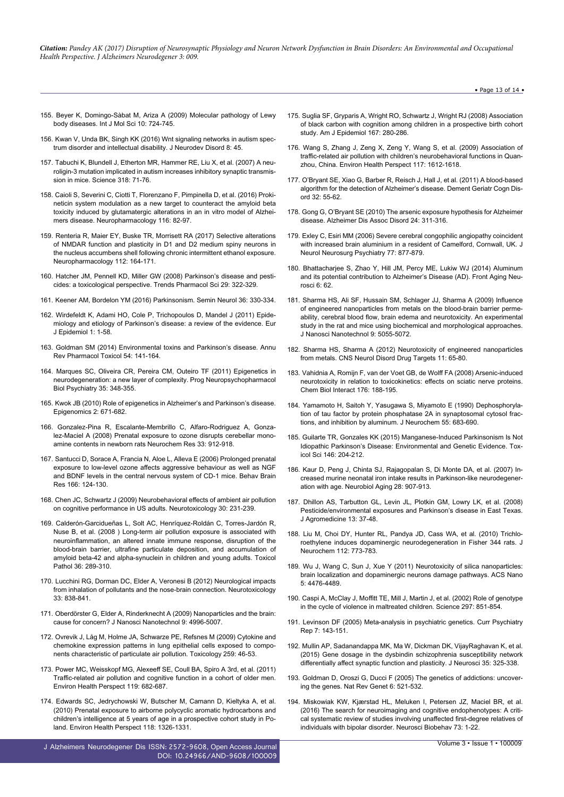- 155. [Beyer K, Domingo-Sàbat M, Ariza A \(2009\) Molecular pathology of Lewy](https://www.ncbi.nlm.nih.gov/pubmed/19399218) [body diseases. Int J Mol Sci 10: 724-745.](https://www.ncbi.nlm.nih.gov/pubmed/19399218)
- 156. [Kwan V, Unda BK, Singh KK \(2016\) Wnt signaling networks in autism spec](https://www.ncbi.nlm.nih.gov/pmc/articles/PMC5137220/)[trum disorder and intellectual disability. J Neurodev Disord 8: 45.](https://www.ncbi.nlm.nih.gov/pmc/articles/PMC5137220/)
- 157. [Tabuchi K, Blundell J, Etherton MR, Hammer RE, Liu X, et al. \(2007\) A neu](https://www.ncbi.nlm.nih.gov/pubmed/17823315)[roligin-3 mutation implicated in autism increases inhibitory synaptic transmis](https://www.ncbi.nlm.nih.gov/pubmed/17823315)[sion in mice. Science 318: 71-76.](https://www.ncbi.nlm.nih.gov/pubmed/17823315)
- 158. [Caioli S, Severini C, Ciotti T, Florenzano F, Pimpinella D, et al. \(2016\) Proki](https://www.ncbi.nlm.nih.gov/pubmed/27989680)[neticin system modulation as a new target to counteract the amyloid beta](https://www.ncbi.nlm.nih.gov/pubmed/27989680) [toxicity induced by glutamatergic alterations in an in vitro model of Alzhei](https://www.ncbi.nlm.nih.gov/pubmed/27989680)[mers disease. Neuropharmacology 116: 82-97.](https://www.ncbi.nlm.nih.gov/pubmed/27989680)
- 159. [Renteria R, Maier EY, Buske TR, Morrisett RA \(2017\) Selective alterations](https://www.ncbi.nlm.nih.gov/pubmed/26946430) [of NMDAR function and plasticity in D1 and D2 medium spiny neurons in](https://www.ncbi.nlm.nih.gov/pubmed/26946430) [the nucleus accumbens shell following chronic intermittent ethanol exposure.](https://www.ncbi.nlm.nih.gov/pubmed/26946430) [Neuropharmacology 112: 164-171.](https://www.ncbi.nlm.nih.gov/pubmed/26946430)
- 160. [Hatcher JM, Pennell KD, Miller GW \(2008\) Parkinson's disease and pesti](https://www.ncbi.nlm.nih.gov/pubmed/18453001)[cides: a toxicological perspective. Trends Pharmacol Sci 29: 322-329.](https://www.ncbi.nlm.nih.gov/pubmed/18453001)
- 161. [Keener AM, Bordelon YM \(2016\) Parkinsonism. Semin Neurol 36: 330-334.](https://www.ncbi.nlm.nih.gov/pubmed/27643900)
- 162. [Wirdefeldt K, Adami HO, Cole P, Trichopoulos D, Mandel J \(2011\) Epide](https://www.ncbi.nlm.nih.gov/pubmed/21626386)[miology and etiology of Parkinson's disease: a review of the evidence. Eur](https://www.ncbi.nlm.nih.gov/pubmed/21626386) [J Epidemiol 1: 1-58.](https://www.ncbi.nlm.nih.gov/pubmed/21626386)
- 163. [Goldman SM \(2014\) Environmental toxins and Parkinson's disease. Annu](https://www.ncbi.nlm.nih.gov/pubmed/24050700) [Rev Pharmacol Toxicol 54: 141-164.](https://www.ncbi.nlm.nih.gov/pubmed/24050700)
- 164. [Marques SC, Oliveira CR, Pereira CM, Outeiro TF \(2011\) Epigenetics in](https://www.ncbi.nlm.nih.gov/pubmed/20736041) [neurodegeneration: a new layer of complexity. Prog Neuropsychopharmacol](https://www.ncbi.nlm.nih.gov/pubmed/20736041) [Biol Psychiatry 35: 348-355.](https://www.ncbi.nlm.nih.gov/pubmed/20736041)
- 165. [Kwok JB \(2010\) Role of epigenetics in Alzheimer's and Parkinson's disease.](https://www.ncbi.nlm.nih.gov/pubmed/22122050) [Epigenomics 2: 671-682.](https://www.ncbi.nlm.nih.gov/pubmed/22122050)
- 166. [Gonzalez-Pina R, Escalante-Membrillo C, Alfaro-Rodriguez A, Gonza](https://www.ncbi.nlm.nih.gov/pubmed/18030618)[lez-Maciel A \(2008\) Prenatal exposure to ozone disrupts cerebellar mono](https://www.ncbi.nlm.nih.gov/pubmed/18030618)[amine contents in newborn rats Neurochem Res 33: 912-918.](https://www.ncbi.nlm.nih.gov/pubmed/18030618)
- 167. [Santucci D, Sorace A, Francia N, Aloe L, Alleva E \(2006\) Prolonged prenatal](https://www.ncbi.nlm.nih.gov/pubmed/16263182) [exposure to low-level ozone affects aggressive behaviour as well as NGF](https://www.ncbi.nlm.nih.gov/pubmed/16263182) [and BDNF levels in the central nervous system of CD-1 mice. Behav Brain](https://www.ncbi.nlm.nih.gov/pubmed/16263182) [Res 166: 124-130.](https://www.ncbi.nlm.nih.gov/pubmed/16263182)
- 168. [Chen JC, Schwartz J \(2009\) Neurobehavioral effects of ambient air pollution](https://www.ncbi.nlm.nih.gov/pubmed/19150462) [on cognitive performance in US adults. Neurotoxicology 30: 231-239.](https://www.ncbi.nlm.nih.gov/pubmed/19150462)
- 169. [Calderón-Garcidueñas L, Solt AC, Henríquez-Roldán C, Torres-Jardón R,](https://www.ncbi.nlm.nih.gov/pubmed/18349428) [Nuse B, et al. \(2008 \) Long-term air pollution exposure is associated with](https://www.ncbi.nlm.nih.gov/pubmed/18349428) [neuroinflammation, an altered innate immune response, disruption of the](https://www.ncbi.nlm.nih.gov/pubmed/18349428) [blood-brain barrier, ultrafine particulate deposition, and accumulation of](https://www.ncbi.nlm.nih.gov/pubmed/18349428) [amyloid beta-42 and alpha-synuclein in children and young adults. Toxicol](https://www.ncbi.nlm.nih.gov/pubmed/18349428) [Pathol 36: 289-310.](https://www.ncbi.nlm.nih.gov/pubmed/18349428)
- 170. [Lucchini RG, Dorman DC, Elder A, Veronesi B \(2012\) Neurological impacts](https://www.ncbi.nlm.nih.gov/pubmed/22178536) [from inhalation of pollutants and the nose-brain connection. Neurotoxicology](https://www.ncbi.nlm.nih.gov/pubmed/22178536) [33: 838-841.](https://www.ncbi.nlm.nih.gov/pubmed/22178536)
- 171. [Oberdörster G, Elder A, Rinderknecht A \(2009\) Nanoparticles and the brain:](https://www.ncbi.nlm.nih.gov/pubmed/19928180) [cause for concern? J Nanosci Nanotechnol 9: 4996-5007.](https://www.ncbi.nlm.nih.gov/pubmed/19928180)
- 172. [Ovrevik J, Låg M, Holme JA, Schwarze PE, Refsnes M \(2009\) Cytokine and](https://www.ncbi.nlm.nih.gov/pubmed/19428942) [chemokine expression patterns in lung epithelial cells exposed to compo](https://www.ncbi.nlm.nih.gov/pubmed/19428942)[nents characteristic of particulate air pollution. Toxicology 259: 46-53.](https://www.ncbi.nlm.nih.gov/pubmed/19428942)
- 173. [Power MC, Weisskopf MG, Alexeeff SE, Coull BA, Spiro A 3rd, et al. \(2011\)](https://www.ncbi.nlm.nih.gov/pubmed/21172758) [Traffic-related air pollution and cognitive function in a cohort of older men.](https://www.ncbi.nlm.nih.gov/pubmed/21172758) [Environ Health Perspect 119: 682-687.](https://www.ncbi.nlm.nih.gov/pubmed/21172758)
- 174. [Edwards SC, Jedrychowski W, Butscher M, Camann D, Kieltyka A, et al.](https://www.ncbi.nlm.nih.gov/pubmed/20406721) [\(2010\) Prenatal exposure to airborne polycyclic aromatic hydrocarbons and](https://www.ncbi.nlm.nih.gov/pubmed/20406721) [children's intelligence at 5 years of age in a prospective cohort study in Po](https://www.ncbi.nlm.nih.gov/pubmed/20406721)[land. Environ Health Perspect 118: 1326-1331.](https://www.ncbi.nlm.nih.gov/pubmed/20406721)

J Alzheimers Neurodegener Dis ISSN: 2572-9608, Open Access Journal DOI: [10.24966/AND-9608/100009](http://dx.doi.org/10.24966/AND-9608/100009)

- 175. [Suglia SF, Gryparis A, Wright RO, Schwartz J, Wright RJ \(2008\) Association](https://www.ncbi.nlm.nih.gov/pubmed/18006900) [of black carbon with cognition among children in a prospective birth cohort](https://www.ncbi.nlm.nih.gov/pubmed/18006900) [study. Am J Epidemiol 167: 280-286.](https://www.ncbi.nlm.nih.gov/pubmed/18006900)
- 176. [Wang S, Zhang J, Zeng X, Zeng Y, Wang S, et al. \(2009\) Association of](https://www.ncbi.nlm.nih.gov/pubmed/20019914) [traffic-related air pollution with children's neurobehavioral functions in Quan](https://www.ncbi.nlm.nih.gov/pubmed/20019914)[zhou, China. Environ Health Perspect 117: 1612-1618.](https://www.ncbi.nlm.nih.gov/pubmed/20019914)
- 177. [O'Bryant SE, Xiao G, Barber R, Reisch J, Hall J, et al. \(2011\) A blood-based](https://www.ncbi.nlm.nih.gov/pubmed/21865746) [algorithm for the detection of Alzheimer's disease. Dement Geriatr Cogn Dis](https://www.ncbi.nlm.nih.gov/pubmed/21865746)[ord 32: 55-62.](https://www.ncbi.nlm.nih.gov/pubmed/21865746)
- 178. [Gong G, O'Bryant SE \(2010\) The arsenic exposure hypothesis for Alzheimer](https://www.ncbi.nlm.nih.gov/pubmed/20473132) [disease. Alzheimer Dis Assoc Disord 24: 311-316.](https://www.ncbi.nlm.nih.gov/pubmed/20473132)
- 179. [Exley C, Esiri MM \(2006\) Severe cerebral congophilic angiopathy coincident](https://www.ncbi.nlm.nih.gov/pubmed/16627535) [with increased brain aluminium in a resident of Camelford, Cornwall, UK. J](https://www.ncbi.nlm.nih.gov/pubmed/16627535) [Neurol Neurosurg Psychiatry 77: 877-879.](https://www.ncbi.nlm.nih.gov/pubmed/16627535)
- 180. [Bhattacharjee S, Zhao Y, Hill JM, Percy ME, Lukiw WJ \(2014\) Aluminum](https://www.ncbi.nlm.nih.gov/pubmed/24782759) [and its potential contribution to Alzheimer's Disease \(AD\). Front Aging Neu](https://www.ncbi.nlm.nih.gov/pubmed/24782759)[rosci 6: 62.](https://www.ncbi.nlm.nih.gov/pubmed/24782759)
- 181. [Sharma HS, Ali SF, Hussain SM, Schlager JJ, Sharma A \(2009\) Influence](https://www.ncbi.nlm.nih.gov/pubmed/19928185) [of engineered nanoparticles from metals on the blood-brain barrier perme](https://www.ncbi.nlm.nih.gov/pubmed/19928185)[ability, cerebral blood flow, brain edema and neurotoxicity. An experimental](https://www.ncbi.nlm.nih.gov/pubmed/19928185) [study in the rat and mice using biochemical and morphological approaches.](https://www.ncbi.nlm.nih.gov/pubmed/19928185) [J Nanosci Nanotechnol 9: 5055-5072.](https://www.ncbi.nlm.nih.gov/pubmed/19928185)
- 182. [Sharma HS, Sharma A \(2012\) Neurotoxicity of engineered nanoparticles](https://www.ncbi.nlm.nih.gov/pubmed/22229317) [from metals. CNS Neurol Disord Drug Targets 11: 65-80.](https://www.ncbi.nlm.nih.gov/pubmed/22229317)
- 183. [Vahidnia A, Romijn F, van der Voet GB, de Wolff FA \(2008\) Arsenic-induced](https://www.ncbi.nlm.nih.gov/pubmed/18674524) [neurotoxicity in relation to toxicokinetics: effects on sciatic nerve proteins.](https://www.ncbi.nlm.nih.gov/pubmed/18674524) [Chem Biol Interact 176: 188-195.](https://www.ncbi.nlm.nih.gov/pubmed/18674524)
- 184. [Yamamoto H, Saitoh Y, Yasugawa S, Miyamoto E \(1990\) Dephosphoryla](https://www.ncbi.nlm.nih.gov/pubmed/2164575)[tion of tau factor by protein phosphatase 2A in synaptosomal cytosol frac](https://www.ncbi.nlm.nih.gov/pubmed/2164575)[tions, and inhibition by aluminum. J Neurochem 55: 683-690.](https://www.ncbi.nlm.nih.gov/pubmed/2164575)
- 185. [Guilarte TR, Gonzales KK \(2015\) Manganese-Induced Parkinsonism Is Not](https://www.ncbi.nlm.nih.gov/pubmed/26220508) [Idiopathic Parkinson's Disease: Environmental and Genetic Evidence. Tox](https://www.ncbi.nlm.nih.gov/pubmed/26220508)[icol Sci 146: 204-212.](https://www.ncbi.nlm.nih.gov/pubmed/26220508)
- 186. [Kaur D, Peng J, Chinta SJ, Rajagopalan S, Di Monte DA, et al. \(2007\) In](https://www.ncbi.nlm.nih.gov/pubmed/16765489)[creased murine neonatal iron intake results in Parkinson-like neurodegener](https://www.ncbi.nlm.nih.gov/pubmed/16765489)[ation with age. Neurobiol Aging 28: 907-913.](https://www.ncbi.nlm.nih.gov/pubmed/16765489)
- 187. [Dhillon AS, Tarbutton GL, Levin JL, Plotkin GM, Lowry LK, et al. \(2008\)](https://www.ncbi.nlm.nih.gov/pubmed/19042691) [Pesticide/environmental exposures and Parkinson's disease in East Texas.](https://www.ncbi.nlm.nih.gov/pubmed/19042691) [J Agromedicine 13: 37-48.](https://www.ncbi.nlm.nih.gov/pubmed/19042691)
- 188. [Liu M, Choi DY, Hunter RL, Pandya JD, Cass WA, et al. \(2010\) Trichlo](https://www.ncbi.nlm.nih.gov/pubmed/19922440)[roethylene induces dopaminergic neurodegeneration in Fisher 344 rats. J](https://www.ncbi.nlm.nih.gov/pubmed/19922440) [Neurochem 112: 773-783.](https://www.ncbi.nlm.nih.gov/pubmed/19922440)
- 189. [Wu J, Wang C, Sun J, Xue Y \(2011\) Neurotoxicity of silica nanoparticles:](https://www.ncbi.nlm.nih.gov/pubmed/21526751) [brain localization and dopaminergic neurons damage pathways. ACS Nano](https://www.ncbi.nlm.nih.gov/pubmed/21526751) [5: 4476-4489.](https://www.ncbi.nlm.nih.gov/pubmed/21526751)
- 190. [Caspi A, McClay J, Moffitt TE, Mill J, Martin J, et al. \(2002\) Role of genotype](https://www.ncbi.nlm.nih.gov/pubmed/12161658) [in the cycle of violence in maltreated children. Science 297: 851-854.](https://www.ncbi.nlm.nih.gov/pubmed/12161658)
- 191. [Levinson DF \(2005\) Meta-analysis in psychiatric genetics. Curr Psychiatry](https://www.ncbi.nlm.nih.gov/pubmed/15802092) [Rep 7: 143-151.](https://www.ncbi.nlm.nih.gov/pubmed/15802092)
- 192. [Mullin AP, Sadanandappa MK, Ma W, Dickman DK, VijayRaghavan K, et al.](https://www.ncbi.nlm.nih.gov/pubmed/25568125) [\(2015\) Gene dosage in the dysbindin schizophrenia susceptibility network](https://www.ncbi.nlm.nih.gov/pubmed/25568125) [differentially affect synaptic function and plasticity. J Neurosci 35: 325-338.](https://www.ncbi.nlm.nih.gov/pubmed/25568125)
- 193. [Goldman D, Oroszi G, Ducci F \(2005\) The genetics of addictions: uncover](https://www.ncbi.nlm.nih.gov/pubmed/15995696)[ing the genes. Nat Rev Genet 6: 521-532.](https://www.ncbi.nlm.nih.gov/pubmed/15995696)
- 194. [Miskowiak KW, Kjærstad HL, Meluken I, Petersen JZ, Maciel BR, et al.](https://www.ncbi.nlm.nih.gov/pubmed/27979650) [\(2016\) The search for neuroimaging and cognitive endophenotypes: A criti](https://www.ncbi.nlm.nih.gov/pubmed/27979650)[cal systematic review of studies involving unaffected first-degree relatives of](https://www.ncbi.nlm.nih.gov/pubmed/27979650) [individuals with bipolar disorder. Neurosci Biobehav 73: 1-22.](https://www.ncbi.nlm.nih.gov/pubmed/27979650)